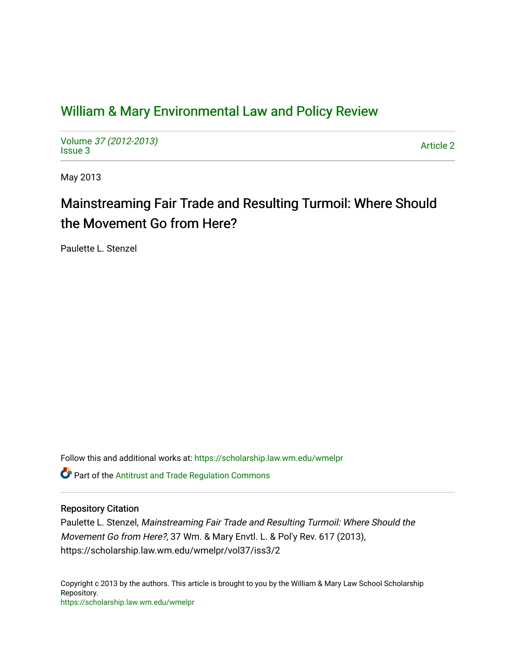# [William & Mary Environmental Law and Policy Review](https://scholarship.law.wm.edu/wmelpr)

Volume [37 \(2012-2013\)](https://scholarship.law.wm.edu/wmelpr/vol37)  volume 37 (2012-2013)<br>[Issue 3](https://scholarship.law.wm.edu/wmelpr/vol37/iss3) Article 2

May 2013

# Mainstreaming Fair Trade and Resulting Turmoil: Where Should the Movement Go from Here?

Paulette L. Stenzel

Follow this and additional works at: [https://scholarship.law.wm.edu/wmelpr](https://scholarship.law.wm.edu/wmelpr?utm_source=scholarship.law.wm.edu%2Fwmelpr%2Fvol37%2Fiss3%2F2&utm_medium=PDF&utm_campaign=PDFCoverPages) Part of the [Antitrust and Trade Regulation Commons](http://network.bepress.com/hgg/discipline/911?utm_source=scholarship.law.wm.edu%2Fwmelpr%2Fvol37%2Fiss3%2F2&utm_medium=PDF&utm_campaign=PDFCoverPages) 

# Repository Citation

Paulette L. Stenzel, Mainstreaming Fair Trade and Resulting Turmoil: Where Should the Movement Go from Here?, 37 Wm. & Mary Envtl. L. & Pol'y Rev. 617 (2013), https://scholarship.law.wm.edu/wmelpr/vol37/iss3/2

Copyright c 2013 by the authors. This article is brought to you by the William & Mary Law School Scholarship Repository. <https://scholarship.law.wm.edu/wmelpr>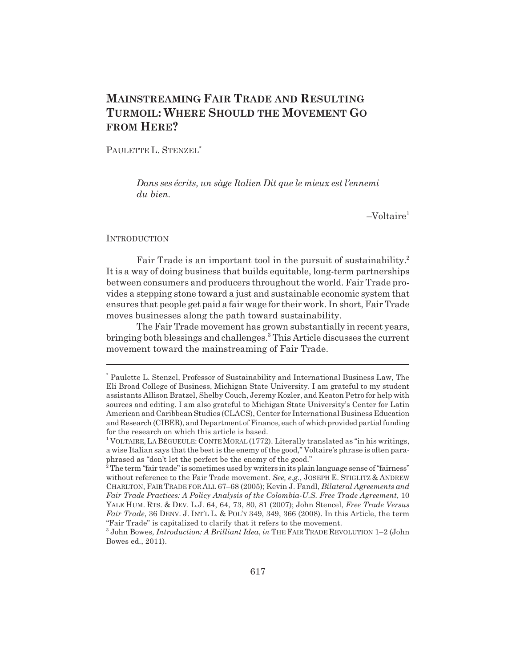# **MAINSTREAMING FAIR TRADE AND RESULTING TURMOIL: WHERE SHOULD THE MOVEMENT GO FROM HERE?**

PAULETTE L. STENZEL<sup>\*</sup>

*Dans ses écrits, un sàge Italien Dit que le mieux est l'ennemi du bien.*

 $-Voltaire<sup>1</sup>$ 

#### **INTRODUCTION**

Fair Trade is an important tool in the pursuit of sustainability.<sup>2</sup> It is a way of doing business that builds equitable, long-term partnerships between consumers and producers throughout the world. Fair Trade provides a stepping stone toward a just and sustainable economic system that ensures that people get paid a fair wage for their work. In short, Fair Trade moves businesses along the path toward sustainability.

The Fair Trade movement has grown substantially in recent years, bringing both blessings and challenges.<sup>3</sup> This Article discusses the current movement toward the mainstreaming of Fair Trade.

<sup>\*</sup> Paulette L. Stenzel, Professor of Sustainability and International Business Law, The Eli Broad College of Business, Michigan State University. I am grateful to my student assistants Allison Bratzel, Shelby Couch, Jeremy Kozler, and Keaton Petro for help with sources and editing. I am also grateful to Michigan State University's Center for Latin American and Caribbean Studies (CLACS), Center for International Business Education and Research (CIBER), and Department of Finance, each of which provided partial funding for the research on which this article is based.

<sup>&</sup>lt;sup>1</sup> VOLTAIRE, LA BÉGUEULE: CONTE MORAL (1772). Literally translated as "in his writings, a wise Italian says that the best is the enemy of the good," Voltaire's phrase is often paraphrased as "don't let the perfect be the enemy of the good."<br><sup>2</sup> The term "fair trade" is sometimes used by writers in its plain language sense of "fairness"

without reference to the Fair Trade movement. *See, e.g.*, JOSEPH E. STIGLITZ & ANDREW CHARLTON, FAIR TRADE FOR ALL 67–68 (2005); Kevin J. Fandl, *Bilateral Agreements and Fair Trade Practices: A Policy Analysis of the Colombia-U.S. Free Trade Agreement*, 10 YALE HUM. RTS. & DEV. L.J. 64, 64, 73, 80, 81 (2007); John Stencel, *Free Trade Versus Fair Trade*, 36 DENV. J. INT'L L. & POL'Y 349, 349, 366 (2008). In this Article, the term "Fair Trade" is capitalized to clarify that it refers to the movement.

<sup>3</sup> John Bowes, *Introduction: A Brilliant Idea*, *in* THE FAIR TRADE REVOLUTION 1–2 (John Bowes ed., 2011).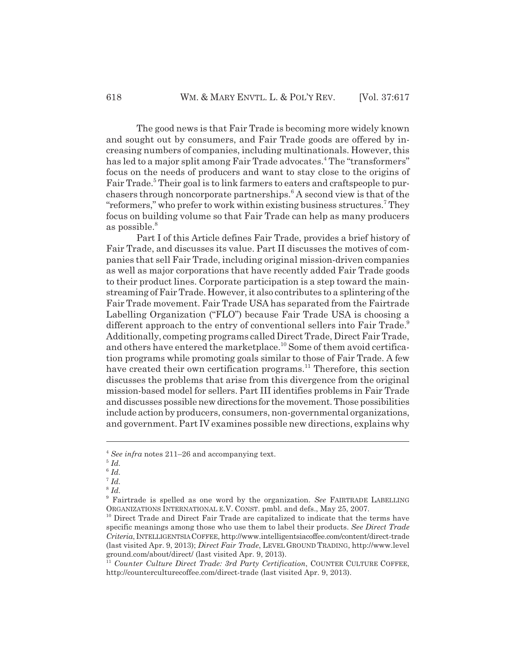The good news is that Fair Trade is becoming more widely known and sought out by consumers, and Fair Trade goods are offered by increasing numbers of companies, including multinationals. However, this has led to a major split among Fair Trade advocates.<sup>4</sup> The "transformers" focus on the needs of producers and want to stay close to the origins of Fair Trade.<sup>5</sup> Their goal is to link farmers to eaters and craftspeople to purchasers through noncorporate partnerships.<sup>6</sup> A second view is that of the "reformers," who prefer to work within existing business structures.<sup>7</sup> They focus on building volume so that Fair Trade can help as many producers as possible.<sup>8</sup>

Part I of this Article defines Fair Trade, provides a brief history of Fair Trade, and discusses its value. Part II discusses the motives of companies that sell Fair Trade, including original mission-driven companies as well as major corporations that have recently added Fair Trade goods to their product lines. Corporate participation is a step toward the mainstreaming of Fair Trade. However, it also contributes to a splintering of the Fair Trade movement. Fair Trade USA has separated from the Fairtrade Labelling Organization ("FLO") because Fair Trade USA is choosing a different approach to the entry of conventional sellers into Fair Trade.<sup>9</sup> Additionally, competing programs called Direct Trade, Direct Fair Trade, and others have entered the marketplace.<sup>10</sup> Some of them avoid certification programs while promoting goals similar to those of Fair Trade. A few have created their own certification programs.<sup>11</sup> Therefore, this section discusses the problems that arise from this divergence from the original mission-based model for sellers. Part III identifies problems in Fair Trade and discusses possible new directions for the movement. Those possibilities include action by producers, consumers, non-governmental organizations, and government. Part IV examines possible new directions, explains why

<sup>4</sup> *See infra* notes 211–26 and accompanying text.

 $^5$   $\mathit{Id}.$ 

<sup>6</sup> *Id.*  $^7$  *Id.* 

<sup>8</sup> *Id.*

<sup>9</sup> Fairtrade is spelled as one word by the organization. *See* FAIRTRADE LABELLING ORGANIZATIONS INTERNATIONAL E.V. CONST. pmbl. and defs., May 25, 2007.

<sup>&</sup>lt;sup>10</sup> Direct Trade and Direct Fair Trade are capitalized to indicate that the terms have specific meanings among those who use them to label their products. *See Direct Trade Criteria*, INTELLIGENTSIA COFFEE, http://www.intelligentsiacoffee.com/content/direct-trade (last visited Apr. 9, 2013); *Direct Fair Trade*, LEVEL GROUND TRADING, http://www.level ground.com/about/direct/ (last visited Apr. 9, 2013).

<sup>11</sup> *Counter Culture Direct Trade: 3rd Party Certification*, COUNTER CULTURE COFFEE, http://counterculturecoffee.com/direct-trade (last visited Apr. 9, 2013).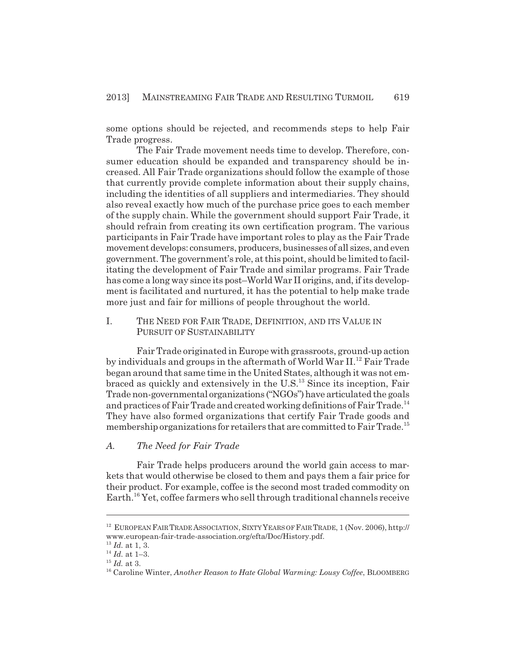some options should be rejected, and recommends steps to help Fair Trade progress.

The Fair Trade movement needs time to develop. Therefore, consumer education should be expanded and transparency should be increased. All Fair Trade organizations should follow the example of those that currently provide complete information about their supply chains, including the identities of all suppliers and intermediaries. They should also reveal exactly how much of the purchase price goes to each member of the supply chain. While the government should support Fair Trade, it should refrain from creating its own certification program. The various participants in Fair Trade have important roles to play as the Fair Trade movement develops: consumers, producers, businesses of all sizes, and even government. The government's role, at this point, should be limited to facilitating the development of Fair Trade and similar programs. Fair Trade has come a long way since its post–World War II origins, and, if its development is facilitated and nurtured, it has the potential to help make trade more just and fair for millions of people throughout the world.

I. THE NEED FOR FAIR TRADE, DEFINITION, AND ITS VALUE IN PURSUIT OF SUSTAINABILITY

Fair Trade originated in Europe with grassroots, ground-up action by individuals and groups in the aftermath of World War II.<sup>12</sup> Fair Trade began around that same time in the United States, although it was not embraced as quickly and extensively in the  $U.S.<sup>13</sup>$  Since its inception, Fair Trade non-governmental organizations ("NGOs") have articulated the goals and practices of Fair Trade and created working definitions of Fair Trade.<sup>14</sup> They have also formed organizations that certify Fair Trade goods and membership organizations for retailers that are committed to Fair Trade.<sup>15</sup>

#### *A. The Need for Fair Trade*

Fair Trade helps producers around the world gain access to markets that would otherwise be closed to them and pays them a fair price for their product. For example, coffee is the second most traded commodity on Earth.<sup>16</sup> Yet, coffee farmers who sell through traditional channels receive

<sup>&</sup>lt;sup>12</sup> EUROPEAN FAIR TRADE ASSOCIATION, SIXTY YEARS OF FAIR TRADE, 1 (Nov. 2006), http:// www.european-fair-trade-association.org/efta/Doc/History.pdf.

<sup>13</sup> *Id.* at 1, 3.

<sup>14</sup> *Id.* at 1–3.

<sup>15</sup> *Id.* at 3.

<sup>16</sup> Caroline Winter, *Another Reason to Hate Global Warming: Lousy Coffee*, BLOOMBERG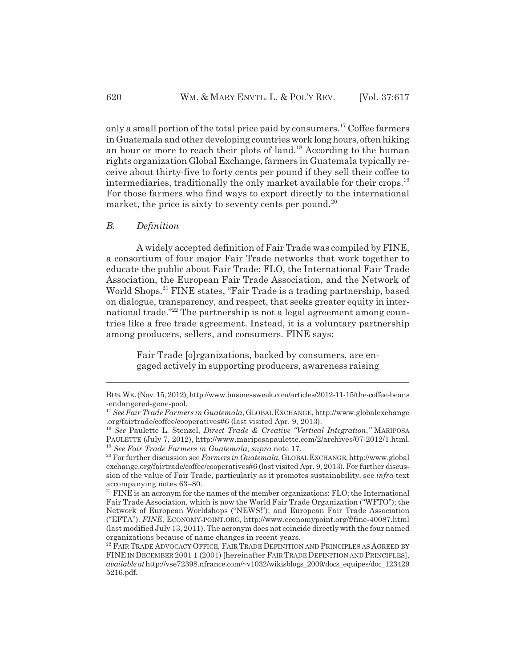only a small portion of the total price paid by consumers.<sup>17</sup> Coffee farmers in Guatemala and other developing countries work long hours, often hiking an hour or more to reach their plots of land.<sup>18</sup> According to the human rights organization Global Exchange, farmers in Guatemala typically receive about thirty-five to forty cents per pound if they sell their coffee to intermediaries, traditionally the only market available for their crops.<sup>19</sup> For those farmers who find ways to export directly to the international market, the price is sixty to seventy cents per pound.<sup>20</sup>

#### *B. Definition*

A widely accepted definition of Fair Trade was compiled by FINE, a consortium of four major Fair Trade networks that work together to educate the public about Fair Trade: FLO, the International Fair Trade Association, the European Fair Trade Association, and the Network of World Shops.<sup>21</sup> FINE states, "Fair Trade is a trading partnership, based on dialogue, transparency, and respect, that seeks greater equity in international trade."<sup>22</sup> The partnership is not a legal agreement among countries like a free trade agreement. Instead, it is a voluntary partnership among producers, sellers, and consumers. FINE says:

Fair Trade [o]rganizations, backed by consumers, are engaged actively in supporting producers, awareness raising

BUS.WK.(Nov. 15, 2012), http://www.businessweek.com/articles/2012-11-15/the-coffee-beans -endangered-gene-pool.

<sup>17</sup> *See Fair Trade Farmers in Guatemala*, GLOBAL EXCHANGE, http://www.globalexchange .org/fairtrade/coffee/cooperatives#6 (last visited Apr. 9, 2013).

<sup>18</sup> *See* Paulette L. Stenzel, *Direct Trade & Creative "Vertical Integration*,*"* MARIPOSA PAULETTE (July 7, 2012), http://www.mariposapaulette.com/2/archives/07-2012/1.html. <sup>19</sup> *See Fair Trade Farmers in Guatemala*, *supra* note 17.

<sup>&</sup>lt;sup>20</sup> For further discussion see Farmers in Guatemala, GLOBAL EXCHANGE, http://www.global exchange.org/fairtrade/coffee/cooperatives#6 (last visited Apr. 9, 2013). For further discussion of the value of Fair Trade, particularly as it promotes sustainability, see *infra* text accompanying notes 63–80.

 $21$  FINE is an acronym for the names of the member organizations: FLO; the International Fair Trade Association, which is now the World Fair Trade Organization ("WFTO"); the Network of European Worldshops ("NEWS!"); and European Fair Trade Association ("EFTA"). *FINE*, ECONOMY-POINT.ORG, http://www.economypoint.org/f/fine-40087.html (last modified July 13, 2011). The acronym does not coincide directly with the four named organizations because of name changes in recent years.

<sup>&</sup>lt;sup>22</sup> FAIR TRADE ADVOCACY OFFICE, FAIR TRADE DEFINITION AND PRINCIPLES AS AGREED BY FINE IN DECEMBER 2001 1 (2001) [hereinafter FAIR TRADE DEFINITION AND PRINCIPLES], *available at* http://vse72398.nfrance.com/~v1032/wikisblogs\_2009/docs\_equipes/doc\_123429 5216.pdf.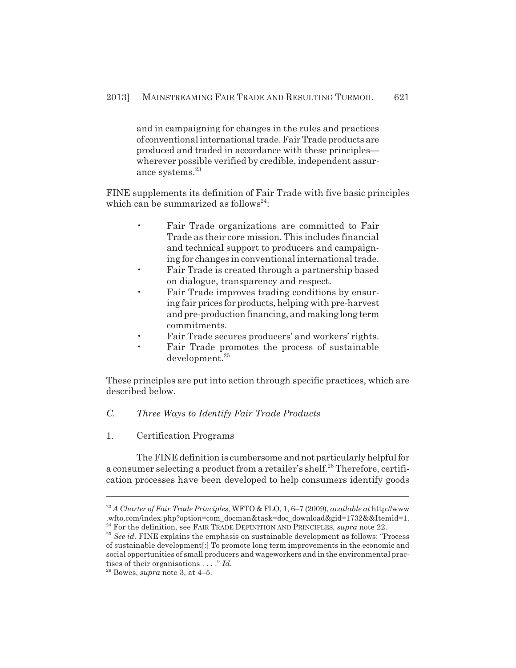and in campaigning for changes in the rules and practices of conventional international trade. Fair Trade products are produced and traded in accordance with these principles wherever possible verified by credible, independent assurance systems.<sup>23</sup>

FINE supplements its definition of Fair Trade with five basic principles which can be summarized as follows<sup>24</sup>:

- Fair Trade organizations are committed to Fair Trade as their core mission. This includes financial and technical support to producers and campaigning for changes in conventional international trade.
- Fair Trade is created through a partnership based on dialogue, transparency and respect.
- Fair Trade improves trading conditions by ensuring fair prices for products, helping with pre-harvest and pre-production financing, and making long term commitments.
- Fair Trade secures producers' and workers' rights.
- Fair Trade promotes the process of sustainable development.<sup>25</sup>

These principles are put into action through specific practices, which are described below.

# *C. Three Ways to Identify Fair Trade Products*

1. Certification Programs

The FINE definition is cumbersome and not particularly helpful for a consumer selecting a product from a retailer's shelf.<sup>26</sup> Therefore, certification processes have been developed to help consumers identify goods

<sup>23</sup> *A Charter of Fair Trade Principles*, WFTO & FLO, 1, 6–7 (2009), *available at* http://www .wfto.com/index.php?option=com\_docman&task=doc\_download&gid=1732&&Itemid=1. <sup>24</sup> For the definition, see FAIR TRADE DEFINITION AND PRINCIPLES, *supra* note 22.

<sup>25</sup> *See id.* FINE explains the emphasis on sustainable development as follows: "Process of sustainable development[:] To promote long term improvements in the economic and social opportunities of small producers and wageworkers and in the environmental practises of their organisations . . . ." *Id.*

 $26$  Bowes, *supra* note 3, at  $4-5$ .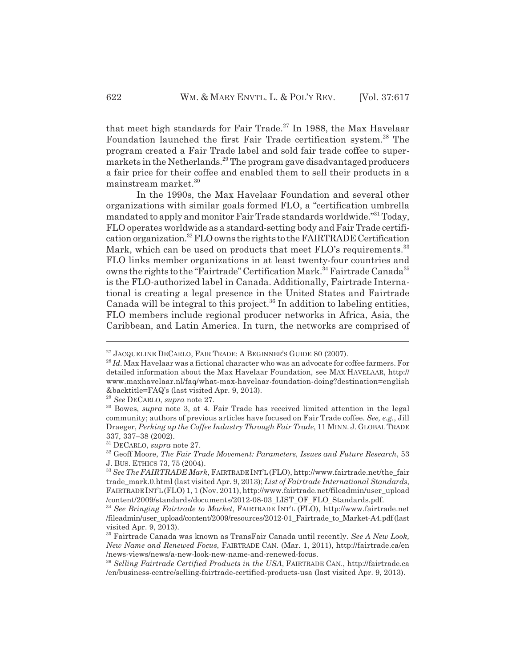that meet high standards for Fair Trade.<sup>27</sup> In 1988, the Max Havelaar Foundation launched the first Fair Trade certification system.<sup>28</sup> The program created a Fair Trade label and sold fair trade coffee to supermarkets in the Netherlands.<sup>29</sup> The program gave disadvantaged producers a fair price for their coffee and enabled them to sell their products in a mainstream market.<sup>30</sup>

In the 1990s, the Max Havelaar Foundation and several other organizations with similar goals formed FLO, a "certification umbrella mandated to apply and monitor Fair Trade standards worldwide."<sup>31</sup> Today, FLO operates worldwide as a standard-setting body and Fair Trade certification organization.32 FLO owns the rights to the FAIRTRADE Certification Mark, which can be used on products that meet  $FLO$ 's requirements.<sup>33</sup> FLO links member organizations in at least twenty-four countries and owns the rights to the "Fairtrade" Certification Mark.<sup>34</sup> Fairtrade Canada<sup>35</sup> is the FLO-authorized label in Canada. Additionally, Fairtrade International is creating a legal presence in the United States and Fairtrade Canada will be integral to this project.<sup>36</sup> In addition to labeling entities, FLO members include regional producer networks in Africa, Asia, the Caribbean, and Latin America. In turn, the networks are comprised of

 $^{27}$  JACQUELINE DECARLO, FAIR TRADE: A BEGINNER'S GUIDE 80 (2007).

<sup>28</sup> *Id.* Max Havelaar was a fictional character who was an advocate for coffee farmers. For detailed information about the Max Havelaar Foundation, see MAX HAVELAAR, http:// www.maxhavelaar.nl/faq/what-max-havelaar-foundation-doing?destination=english &backtitle=FAQ's (last visited Apr. 9, 2013).

<sup>29</sup> *See* DECARLO, *supra* note 27.

<sup>30</sup> Bowes, *supra* note 3, at 4. Fair Trade has received limited attention in the legal community; authors of previous articles have focused on Fair Trade coffee. *See, e.g.*, Jill Draeger, *Perking up the Coffee Industry Through Fair Trade*, 11 MINN. J. GLOBAL TRADE 337, 337–38 (2002).

<sup>31</sup> DECARLO, *supra* note 27.

<sup>32</sup> Geoff Moore, *The Fair Trade Movement: Parameters, Issues and Future Research*, 53 J. BUS. ETHICS 73, 75 (2004).

<sup>33</sup> *See The FAIRTRADE Mark*, FAIRTRADE INT'L (FLO), http://www.fairtrade.net/the\_fair trade\_mark.0.html (last visited Apr. 9, 2013); *List of Fairtrade International Standards*, FAIRTRADE INT'L (FLO) 1, 1 (Nov. 2011), http://www.fairtrade.net/fileadmin/user\_upload /content/2009/standards/documents/2012-08-03\_LIST\_OF\_FLO\_Standards.pdf.

<sup>34</sup> *See Bringing Fairtrade to Market*, FAIRTRADE INT'L (FLO), http://www.fairtrade.net /fileadmin/user\_upload/content/2009/resources/2012-01\_Fairtrade\_to\_Market-A4.pdf (last visited Apr. 9, 2013).

<sup>35</sup> Fairtrade Canada was known as TransFair Canada until recently. *See A New Look, New Name and Renewed Focus*, FAIRTRADE CAN. (Mar. 1, 2011), http://fairtrade.ca/en /news-views/news/a-new-look-new-name-and-renewed-focus.

<sup>36</sup> *Selling Fairtrade Certified Products in the USA*, FAIRTRADE CAN., http://fairtrade.ca /en/business-centre/selling-fairtrade-certified-products-usa (last visited Apr. 9, 2013).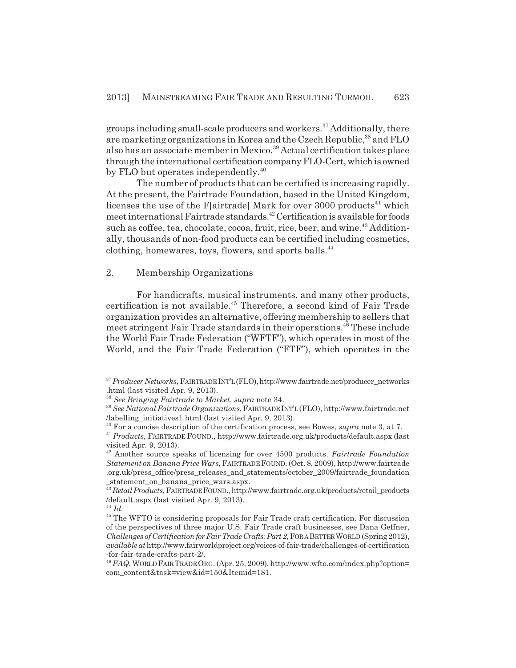groups including small-scale producers and workers.37 Additionally, there are marketing organizations in Korea and the Czech Republic,<sup>38</sup> and FLO also has an associate member in Mexico.<sup>39</sup> Actual certification takes place through the international certification company FLO-Cert, which is owned by FLO but operates independently.<sup>40</sup>

The number of products that can be certified is increasing rapidly. At the present, the Fairtrade Foundation, based in the United Kingdom, licenses the use of the F[airtrade] Mark for over  $3000$  products<sup>41</sup> which meet international Fairtrade standards.42 Certification is available for foods such as coffee, tea, chocolate, cocoa, fruit, rice, beer, and wine.<sup>43</sup> Additionally, thousands of non-food products can be certified including cosmetics, clothing, homewares, toys, flowers, and sports balls.<sup>44</sup>

#### 2. Membership Organizations

For handicrafts, musical instruments, and many other products, certification is not available.45 Therefore, a second kind of Fair Trade organization provides an alternative, offering membership to sellers that meet stringent Fair Trade standards in their operations.<sup>46</sup> These include the World Fair Trade Federation ("WFTF"), which operates in most of the World, and the Fair Trade Federation ("FTF"), which operates in the

<sup>&</sup>lt;sup>37</sup> Producer Networks, FAIRTRADE INT'L (FLO), http://www.fairtrade.net/producer\_networks .html (last visited Apr. 9, 2013).

<sup>38</sup> *See Bringing Fairtrade to Market*, *supra* note 34.

<sup>39</sup> *See National Fairtrade Organizations*, FAIRTRADE INT'L (FLO), http://www.fairtrade.net /labelling\_initiatives1.html (last visited Apr. 9, 2013).

<sup>40</sup> For a concise description of the certification process, see Bowes, *supra* note 3, at 7.

<sup>41</sup> *Products*, FAIRTRADE FOUND., http://www.fairtrade.org.uk/products/default.aspx (last visited Apr. 9, 2013).

<sup>42</sup> Another source speaks of licensing for over 4500 products. *Fairtrade Foundation Statement on Banana Price Wars*, FAIRTRADE FOUND. (Oct. 8, 2009), http://www.fairtrade .org.uk/press\_office/press\_releases\_and\_statements/october\_2009/fairtrade\_foundation \_statement\_on\_banana\_price\_wars.aspx.

<sup>43</sup> *Retail Products*, FAIRTRADE FOUND., http://www.fairtrade.org.uk/products/retail\_products /default.aspx (last visited Apr. 9, 2013).

<sup>44</sup> *Id.*

<sup>&</sup>lt;sup>45</sup> The WFTO is considering proposals for Fair Trade craft certification. For discussion of the perspectives of three major U.S. Fair Trade craft businesses, see Dana Geffner, *Challenges of Certification for Fair Trade Crafts: Part 2*, FOR A BETTER WORLD (Spring 2012), *available at* http://www.fairworldproject.org/voices-of-fair-trade/challenges-of-certification -for-fair-trade-crafts-part-2/.

<sup>46</sup> *FAQ*, WORLD FAIR TRADE ORG. (Apr. 25, 2009), http://www.wfto.com/index.php?option= com\_content&task=view&id=150&Itemid=181.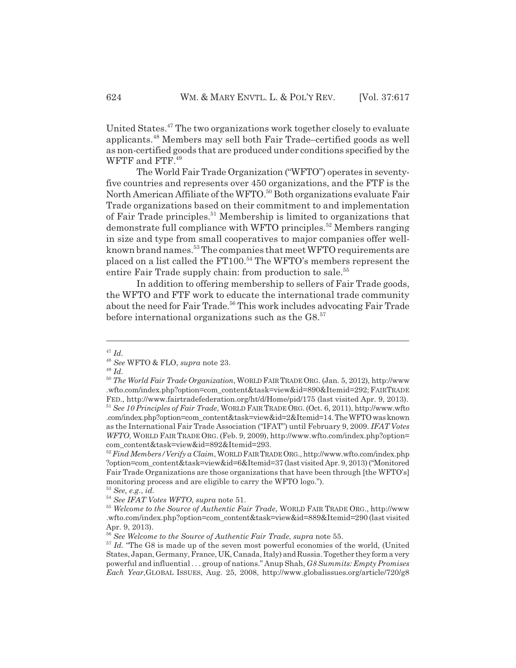United States.47 The two organizations work together closely to evaluate applicants.48 Members may sell both Fair Trade–certified goods as well as non-certified goods that are produced under conditions specified by the WFTF and FTF.<sup>49</sup>

The World Fair Trade Organization ("WFTO") operates in seventyfive countries and represents over 450 organizations, and the FTF is the North American Affiliate of the WFTO.<sup>50</sup> Both organizations evaluate Fair Trade organizations based on their commitment to and implementation of Fair Trade principles.<sup>51</sup> Membership is limited to organizations that demonstrate full compliance with WFTO principles.<sup>52</sup> Members ranging in size and type from small cooperatives to major companies offer wellknown brand names.<sup>53</sup> The companies that meet WFTO requirements are placed on a list called the FT100.<sup>54</sup> The WFTO's members represent the entire Fair Trade supply chain: from production to sale.<sup>55</sup>

In addition to offering membership to sellers of Fair Trade goods, the WFTO and FTF work to educate the international trade community about the need for Fair Trade.<sup>56</sup> This work includes advocating Fair Trade before international organizations such as the  $G8$ <sup>57</sup>

<sup>47</sup> *Id.*

<sup>48</sup> *See* WFTO & FLO, *supra* note 23.

<sup>49</sup> *Id.*

<sup>50</sup> *The World Fair Trade Organization*, WORLD FAIR TRADE ORG. (Jan. 5, 2012), http://www .wfto.com/index.php?option=com\_content&task=view&id=890&Itemid=292; FAIRTRADE FED., http://www.fairtradefederation.org/ht/d/Home/pid/175 (last visited Apr. 9, 2013). <sup>51</sup> *See 10 Principles of Fair Trade*, WORLD FAIR TRADE ORG. (Oct. 6, 2011), http://www.wfto .com/index.php?option=com\_content&task=view&id=2&Itemid=14. The WFTO was known as the International Fair Trade Association ("IFAT") until February 9, 2009. *IFAT Votes WFTO*, WORLD FAIR TRADE ORG. (Feb. 9, 2009), http://www.wfto.com/index.php?option= com\_content&task=view&id=892&Itemid=293.

<sup>52</sup> *Find Members/Verify a Claim*, WORLD FAIR TRADE ORG., http://www.wfto.com/index.php ?option=com\_content&task=view&id=6&Itemid=37 (last visited Apr. 9, 2013) ("Monitored Fair Trade Organizations are those organizations that have been through [the WFTO's] monitoring process and are eligible to carry the WFTO logo.").

<sup>53</sup> *See, e.g.*, *id.*

<sup>54</sup> *See IFAT Votes WFTO*, *supra* note 51.

<sup>55</sup> *Welcome to the Source of Authentic Fair Trade*, WORLD FAIR TRADE ORG., http://www .wfto.com/index.php?option=com\_content&task=view&id=889&Itemid=290 (last visited Apr. 9, 2013).

<sup>56</sup> *See Welcome to the Source of Authentic Fair Trade*, *supra* note 55.

<sup>&</sup>lt;sup>57</sup> *Id.* "The G8 is made up of the seven most powerful economies of the world, (United States, Japan, Germany, France, UK, Canada, Italy) and Russia. Together they form a very powerful and influential . . . group of nations." Anup Shah, *G8 Summits: Empty Promises Each Year*,GLOBAL ISSUES, Aug. 25, 2008, http://www.globalissues.org/article/720/g8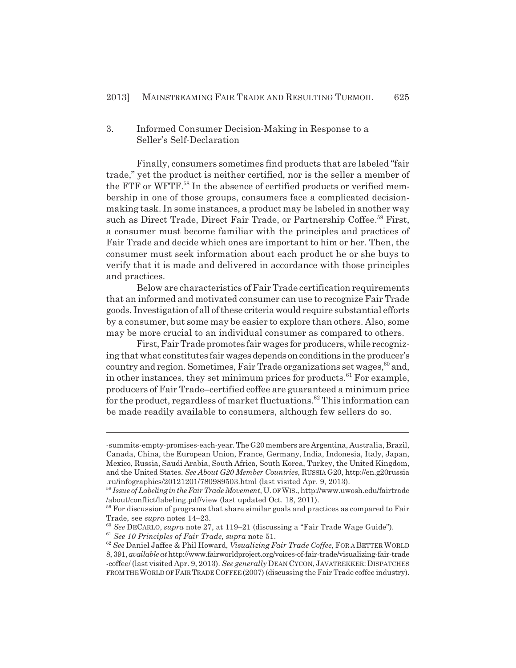# 3. Informed Consumer Decision-Making in Response to a Seller's Self-Declaration

Finally, consumers sometimes find products that are labeled "fair trade," yet the product is neither certified, nor is the seller a member of the FTF or WFTF.<sup>58</sup> In the absence of certified products or verified membership in one of those groups, consumers face a complicated decisionmaking task. In some instances, a product may be labeled in another way such as Direct Trade, Direct Fair Trade, or Partnership Coffee.<sup>59</sup> First, a consumer must become familiar with the principles and practices of Fair Trade and decide which ones are important to him or her. Then, the consumer must seek information about each product he or she buys to verify that it is made and delivered in accordance with those principles and practices.

Below are characteristics of Fair Trade certification requirements that an informed and motivated consumer can use to recognize Fair Trade goods. Investigation of all of these criteria would require substantial efforts by a consumer, but some may be easier to explore than others. Also, some may be more crucial to an individual consumer as compared to others.

First, Fair Trade promotes fair wages for producers, while recognizing that what constitutes fair wages depends on conditions in the producer's country and region. Sometimes, Fair Trade organizations set wages,  $60$  and, in other instances, they set minimum prices for products.<sup>61</sup> For example, producers of Fair Trade–certified coffee are guaranteed a minimum price for the product, regardless of market fluctuations.<sup>62</sup> This information can be made readily available to consumers, although few sellers do so.

<sup>-</sup>summits-empty-promises-each-year. The G20 members are Argentina, Australia, Brazil, Canada, China, the European Union, France, Germany, India, Indonesia, Italy, Japan, Mexico, Russia, Saudi Arabia, South Africa, South Korea, Turkey, the United Kingdom, and the United States. *See About G20 Member Countries*, RUSSIA G20, http://en.g20russia .ru/infographics/20121201/780989503.html (last visited Apr. 9, 2013).

<sup>58</sup> *Issue of Labeling in the Fair Trade Movement*, U. OF WIS., http://www.uwosh.edu/fairtrade /about/conflict/labeling.pdf/view (last updated Oct. 18, 2011).

<sup>&</sup>lt;sup>59</sup> For discussion of programs that share similar goals and practices as compared to Fair Trade, see *supra* notes 14–23.

<sup>60</sup> *See* DECARLO, *supra* note 27, at 119–21 (discussing a "Fair Trade Wage Guide").

<sup>61</sup> *See 10 Principles of Fair Trade*, *supra* note 51.

<sup>62</sup> *See* Daniel Jaffee & Phil Howard, *Visualizing Fair Trade Coffee*, FOR A BETTER WORLD 8, 391, *available at* http://www.fairworldproject.org/voices-of-fair-trade/visualizing-fair-trade -coffee/ (last visited Apr. 9, 2013). *See generally* DEAN CYCON, JAVATREKKER:DISPATCHES FROM THE WORLD OF FAIR TRADE COFFEE (2007) (discussing the Fair Trade coffee industry).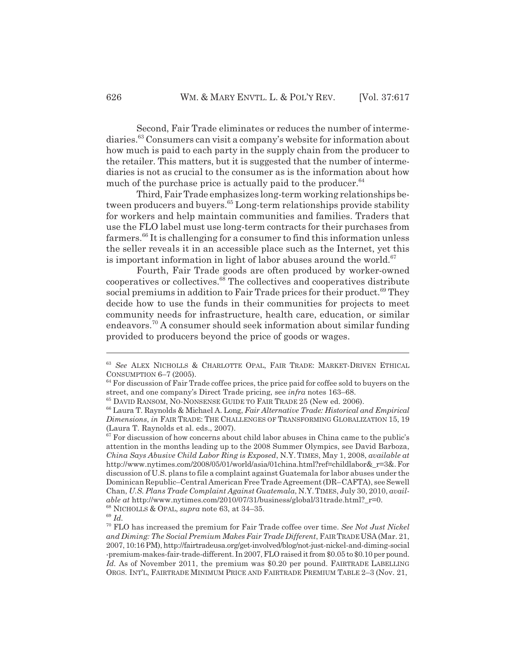Second, Fair Trade eliminates or reduces the number of intermediaries.63 Consumers can visit a company's website for information about how much is paid to each party in the supply chain from the producer to the retailer. This matters, but it is suggested that the number of intermediaries is not as crucial to the consumer as is the information about how much of the purchase price is actually paid to the producer. $64$ 

Third, Fair Trade emphasizes long-term working relationships between producers and buyers.<sup>65</sup> Long-term relationships provide stability for workers and help maintain communities and families. Traders that use the FLO label must use long-term contracts for their purchases from farmers.66 It is challenging for a consumer to find this information unless the seller reveals it in an accessible place such as the Internet, yet this is important information in light of labor abuses around the world. $67$ 

Fourth, Fair Trade goods are often produced by worker-owned cooperatives or collectives.68 The collectives and cooperatives distribute social premiums in addition to Fair Trade prices for their product.<sup>69</sup> They decide how to use the funds in their communities for projects to meet community needs for infrastructure, health care, education, or similar endeavors.70 A consumer should seek information about similar funding provided to producers beyond the price of goods or wages.

<sup>63</sup> *See* ALEX NICHOLLS & CHARLOTTE OPAL, FAIR TRADE: MARKET-DRIVEN ETHICAL CONSUMPTION 6–7 (2005).

 $64$  For discussion of Fair Trade coffee prices, the price paid for coffee sold to buyers on the street, and one company's Direct Trade pricing, see *infra* notes 163–68.

<sup>65</sup> DAVID RANSOM, NO-NONSENSE GUIDE TO FAIR TRADE 25 (New ed. 2006).

<sup>66</sup> Laura T. Raynolds & Michael A. Long, *Fair Alternative Trade: Historical and Empirical Dimensions*, *in* FAIR TRADE: THE CHALLENGES OF TRANSFORMING GLOBALIZATION 15, 19 (Laura T. Raynolds et al. eds., 2007).

 $67$  For discussion of how concerns about child labor abuses in China came to the public's attention in the months leading up to the 2008 Summer Olympics, see David Barboza, *China Says Abusive Child Labor Ring is Exposed*, N.Y. TIMES, May 1, 2008, *available at* http://www.nytimes.com/2008/05/01/world/asia/01china.html?ref=childlabor&\_r=3&. For discussion of U.S. plans to file a complaint against Guatemala for labor abuses under the Dominican Republic–Central American Free Trade Agreement (DR–CAFTA), see Sewell Chan, *U.S. Plans Trade Complaint Against Guatemala*, N.Y.TIMES, July 30, 2010, *available at* http://www.nytimes.com/2010/07/31/business/global/31trade.html?\_r=0.

<sup>68</sup> NICHOLLS & OPAL, *supra* note 63, at 34–35.

<sup>69</sup> *Id.*

<sup>70</sup> FLO has increased the premium for Fair Trade coffee over time. *See Not Just Nickel and Diming: The Social Premium Makes Fair Trade Different*, FAIR TRADE USA(Mar. 21, 2007, 10:16 PM), http://fairtradeusa.org/get-involved/blog/not-just-nickel-and-diming-social -premium-makes-fair-trade-different. In 2007, FLO raised it from \$0.05 to \$0.10 per pound. Id. As of November 2011, the premium was \$0.20 per pound. FAIRTRADE LABELLING ORGS. INT'L, FAIRTRADE MINIMUM PRICE AND FAIRTRADE PREMIUM TABLE 2–3 (Nov. 21,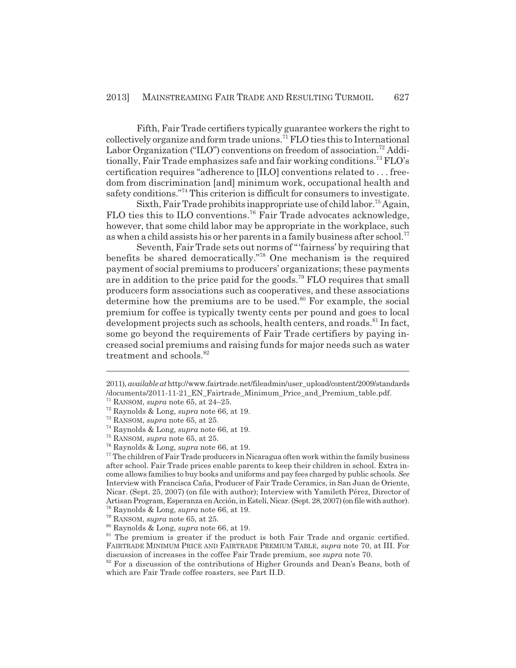Fifth, Fair Trade certifiers typically guarantee workers the right to  $\text{collectively organize and form trade unions.} \text{71 FLO ties this to International}$ Labor Organization ("ILO") conventions on freedom of association.<sup>72</sup> Additionally, Fair Trade emphasizes safe and fair working conditions.<sup>73</sup> FLO's certification requires "adherence to [ILO] conventions related to . . . freedom from discrimination [and] minimum work, occupational health and safety conditions."<sup>74</sup> This criterion is difficult for consumers to investigate.

Sixth, Fair Trade prohibits inappropriate use of child labor.75 Again, FLO ties this to ILO conventions.<sup>76</sup> Fair Trade advocates acknowledge, however, that some child labor may be appropriate in the workplace, such as when a child assists his or her parents in a family business after school.<sup>77</sup>

Seventh, Fair Trade sets out norms of "'fairness' by requiring that benefits be shared democratically."78 One mechanism is the required payment of social premiums to producers' organizations; these payments are in addition to the price paid for the goods.<sup>79</sup> FLO requires that small producers form associations such as cooperatives, and these associations determine how the premiums are to be used.<sup>80</sup> For example, the social premium for coffee is typically twenty cents per pound and goes to local development projects such as schools, health centers, and roads.<sup>81</sup> In fact, some go beyond the requirements of Fair Trade certifiers by paying increased social premiums and raising funds for major needs such as water treatment and schools.<sup>82</sup>

<sup>2011),</sup> *available at* http://www.fairtrade.net/fileadmin/user\_upload/content/2009/standards /documents/2011-11-21\_EN\_Fairtrade\_Minimum\_Price\_and\_Premium\_table.pdf.

 $71$  RANSOM, *supra* note 65, at 24–25.

<sup>72</sup> Raynolds & Long, *supra* note 66, at 19.

<sup>73</sup> RANSOM, *supra* note 65, at 25.

<sup>74</sup> Raynolds & Long, *supra* note 66, at 19.

<sup>75</sup> RANSOM, *supra* note 65, at 25.

<sup>76</sup> Raynolds & Long, *supra* note 66, at 19.

 $77$  The children of Fair Trade producers in Nicaragua often work within the family business after school. Fair Trade prices enable parents to keep their children in school. Extra income allows families to buy books and uniforms and pay fees charged by public schools. *See* Interview with Francisca Caña, Producer of Fair Trade Ceramics, in San Juan de Oriente, Nicar. (Sept. 25, 2007) (on file with author); Interview with Yamileth Pérez, Director of Artisan Program, Esperanza en Acción, in Estelí, Nicar. (Sept. 28, 2007) (on file with author). 78 Raynolds & Long, *supra* note 66, at 19.

<sup>79</sup> RANSOM, *supra* note 65, at 25.

<sup>80</sup> Raynolds & Long, *supra* note 66, at 19.

 $81$  The premium is greater if the product is both Fair Trade and organic certified. FAIRTRADE MINIMUM PRICE AND FAIRTRADE PREMIUM TABLE, *supra* note 70, at III. For discussion of increases in the coffee Fair Trade premium, see *supra* note 70.

 $82$  For a discussion of the contributions of Higher Grounds and Dean's Beans, both of which are Fair Trade coffee roasters, see Part II.D.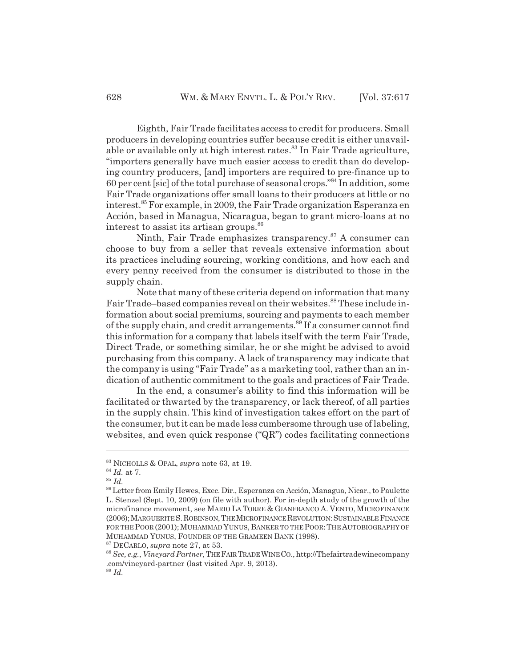Eighth, Fair Trade facilitates access to credit for producers. Small producers in developing countries suffer because credit is either unavailable or available only at high interest rates.<sup>83</sup> In Fair Trade agriculture, "importers generally have much easier access to credit than do developing country producers, [and] importers are required to pre-finance up to 60 per cent [sic] of the total purchase of seasonal crops."84 In addition, some Fair Trade organizations offer small loans to their producers at little or no interest.<sup>85</sup> For example, in 2009, the Fair Trade organization Esperanza en Acción, based in Managua, Nicaragua, began to grant micro-loans at no interest to assist its artisan groups.<sup>86</sup>

Ninth, Fair Trade emphasizes transparency.<sup>87</sup> A consumer can choose to buy from a seller that reveals extensive information about its practices including sourcing, working conditions, and how each and every penny received from the consumer is distributed to those in the supply chain.

Note that many of these criteria depend on information that many Fair Trade–based companies reveal on their websites.<sup>88</sup> These include information about social premiums, sourcing and payments to each member of the supply chain, and credit arrangements.<sup>89</sup> If a consumer cannot find this information for a company that labels itself with the term Fair Trade, Direct Trade, or something similar, he or she might be advised to avoid purchasing from this company. A lack of transparency may indicate that the company is using "Fair Trade" as a marketing tool, rather than an indication of authentic commitment to the goals and practices of Fair Trade.

In the end, a consumer's ability to find this information will be facilitated or thwarted by the transparency, or lack thereof, of all parties in the supply chain. This kind of investigation takes effort on the part of the consumer, but it can be made less cumbersome through use of labeling, websites, and even quick response ("QR") codes facilitating connections

87 DECARLO, *supra* note 27, at 53.

<sup>83</sup> NICHOLLS & OPAL, *supra* note 63, at 19.

<sup>84</sup> *Id.* at 7.

<sup>85</sup> *Id.*

<sup>86</sup> Letter from Emily Hewes, Exec. Dir., Esperanza en Acción, Managua, Nicar., to Paulette L. Stenzel (Sept. 10, 2009) (on file with author). For in-depth study of the growth of the microfinance movement, see MARIO LA TORRE & GIANFRANCO A. VENTO, MICROFINANCE (2006);MARGUERITE S.ROBINSON,THE MICROFINANCE REVOLUTION:SUSTAINABLE FINANCE FOR THE POOR (2001); MUHAMMAD YUNUS, BANKER TO THE POOR: THE AUTOBIOGRAPHY OF MUHAMMAD YUNUS, FOUNDER OF THE GRAMEEN BANK (1998).

<sup>88</sup> *See, e.g.*, *Vineyard Partner*, THE FAIR TRADE WINE CO., http://Thefairtradewinecompany .com/vineyard-partner (last visited Apr. 9, 2013). <sup>89</sup> *Id.*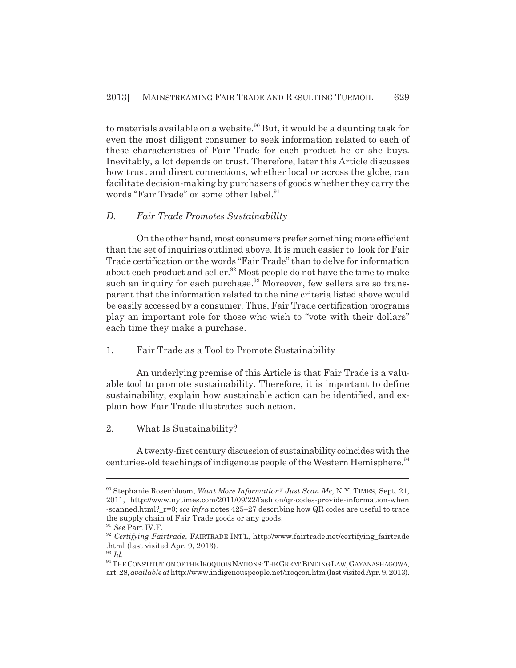to materials available on a website.<sup>90</sup> But, it would be a daunting task for even the most diligent consumer to seek information related to each of these characteristics of Fair Trade for each product he or she buys. Inevitably, a lot depends on trust. Therefore, later this Article discusses how trust and direct connections, whether local or across the globe, can facilitate decision-making by purchasers of goods whether they carry the words "Fair Trade" or some other label.<sup>91</sup>

#### *D. Fair Trade Promotes Sustainability*

On the other hand, most consumers prefer something more efficient than the set of inquiries outlined above. It is much easier to look for Fair Trade certification or the words "Fair Trade" than to delve for information about each product and seller.<sup>92</sup> Most people do not have the time to make such an inquiry for each purchase.<sup>93</sup> Moreover, few sellers are so transparent that the information related to the nine criteria listed above would be easily accessed by a consumer. Thus, Fair Trade certification programs play an important role for those who wish to "vote with their dollars" each time they make a purchase.

## 1. Fair Trade as a Tool to Promote Sustainability

An underlying premise of this Article is that Fair Trade is a valuable tool to promote sustainability. Therefore, it is important to define sustainability, explain how sustainable action can be identified, and explain how Fair Trade illustrates such action.

2. What Is Sustainability?

A twenty-first century discussion of sustainability coincides with the centuries-old teachings of indigenous people of the Western Hemisphere.<sup>94</sup>

<sup>90</sup> Stephanie Rosenbloom, *Want More Information? Just Scan Me*, N.Y. TIMES, Sept. 21, 2011, http://www.nytimes.com/2011/09/22/fashion/qr-codes-provide-information-when -scanned.html?\_r=0; *see infra* notes 425–27 describing how QR codes are useful to trace the supply chain of Fair Trade goods or any goods.

<sup>91</sup> *See* Part IV.F.

<sup>92</sup> *Certifying Fairtrade*, FAIRTRADE INT'L, http://www.fairtrade.net/certifying\_fairtrade .html (last visited Apr. 9, 2013).

<sup>93</sup> *Id.*

 $^{94}$  THE CONSTITUTION OF THE IROQUOIS NATIONS: THE GREAT BINDING LAW, GAYANASHAGOWA, art. 28, *available at* http://www.indigenouspeople.net/iroqcon.htm (last visited Apr. 9, 2013).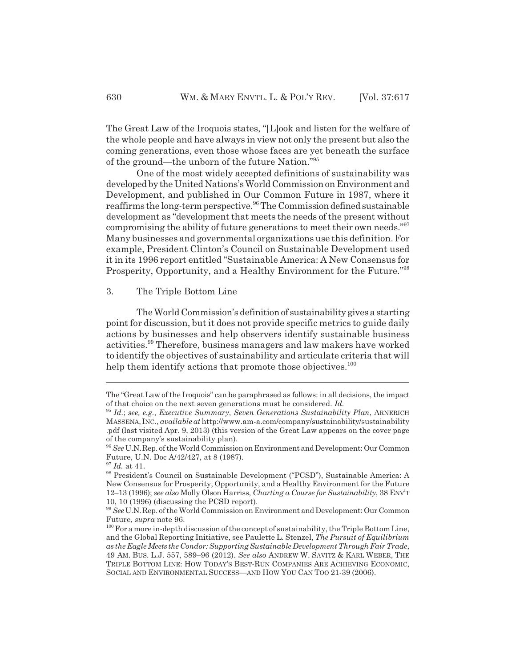The Great Law of the Iroquois states, "[L]ook and listen for the welfare of the whole people and have always in view not only the present but also the coming generations, even those whose faces are yet beneath the surface of the ground—the unborn of the future Nation."95

One of the most widely accepted definitions of sustainability was developed by the United Nations's World Commission on Environment and Development, and published in Our Common Future in 1987, where it reaffirms the long-term perspective.96 The Commission defined sustainable development as "development that meets the needs of the present without compromising the ability of future generations to meet their own needs."<sup>97</sup> Many businesses and governmental organizations use this definition. For example, President Clinton's Council on Sustainable Development used it in its 1996 report entitled "Sustainable America: A New Consensus for Prosperity, Opportunity, and a Healthy Environment for the Future."98

#### 3. The Triple Bottom Line

The World Commission's definition of sustainability gives a starting point for discussion, but it does not provide specific metrics to guide daily actions by businesses and help observers identify sustainable business activities.99 Therefore, business managers and law makers have worked to identify the objectives of sustainability and articulate criteria that will help them identify actions that promote those objectives.<sup>100</sup>

The "Great Law of the Iroquois" can be paraphrased as follows: in all decisions, the impact of that choice on the next seven generations must be considered. *Id.*

<sup>95</sup> *Id.*; *see, e.g.*, *Executive Summary*, *Seven Generations Sustainability Plan*, ARNERICH MASSENA, INC., *available at* http://www.am-a.com/company/sustainability/sustainability .pdf (last visited Apr. 9, 2013) (this version of the Great Law appears on the cover page of the company's sustainability plan).

<sup>96</sup> *See* U.N.Rep. of the World Commission on Environment and Development: Our Common Future, U.N. Doc A/42/427, at 8 (1987).

<sup>97</sup> *Id.* at 41.

<sup>98</sup> President's Council on Sustainable Development ("PCSD"), Sustainable America: A New Consensus for Prosperity, Opportunity, and a Healthy Environment for the Future 12–13 (1996); *see also* Molly Olson Harriss, *Charting a Course for Sustainability*, 38 ENV'T 10, 10 (1996) (discussing the PCSD report).

<sup>99</sup> *See* U.N.Rep. of the World Commission on Environment and Development: Our Common Future, *supra* note 96.

<sup>&</sup>lt;sup>100</sup> For a more in-depth discussion of the concept of sustainability, the Triple Bottom Line, and the Global Reporting Initiative, see Paulette L. Stenzel, *The Pursuit of Equilibrium as the Eagle Meets the Condor: Supporting Sustainable Development Through Fair Trade*, 49 AM. BUS. L.J. 557, 589–96 (2012). *See also* ANDREW W. SAVITZ & KARL WEBER, THE TRIPLE BOTTOM LINE: HOW TODAY'S BEST-RUN COMPANIES ARE ACHIEVING ECONOMIC, SOCIAL AND ENVIRONMENTAL SUCCESS—AND HOW YOU CAN TOO 21-39 (2006).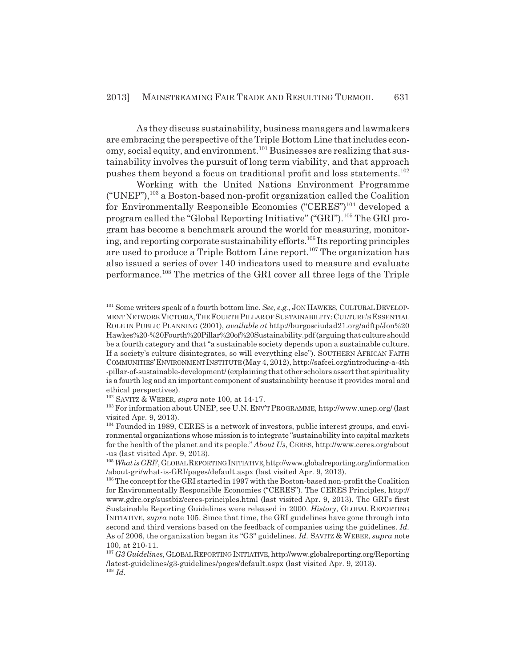As they discuss sustainability, business managers and lawmakers are embracing the perspective of the Triple Bottom Line that includes economy, social equity, and environment.101 Businesses are realizing that sustainability involves the pursuit of long term viability, and that approach pushes them beyond a focus on traditional profit and loss statements.<sup>102</sup>

Working with the United Nations Environment Programme  $("UNEP")$ ,<sup>103</sup> a Boston-based non-profit organization called the Coalition for Environmentally Responsible Economies ("CERES")<sup>104</sup> developed a program called the "Global Reporting Initiative" ("GRI").<sup>105</sup> The GRI program has become a benchmark around the world for measuring, monitoring, and reporting corporate sustainability efforts.106 Its reporting principles are used to produce a Triple Bottom Line report.107 The organization has also issued a series of over 140 indicators used to measure and evaluate performance.108 The metrics of the GRI cover all three legs of the Triple

<sup>101</sup> Some writers speak of a fourth bottom line. *See, e.g.*, JON HAWKES, CULTURAL DEVELOP-MENT NETWORK VICTORIA,THE FOURTH PILLAR OF SUSTAINABILITY:CULTURE'S ESSENTIAL ROLE IN PUBLIC PLANNING (2001), *available at* http://burgosciudad21.org/adftp/Jon%20 Hawkes%20-%20Fourth%20Pillar%20of%20Sustainability.pdf (arguing that culture should be a fourth category and that "a sustainable society depends upon a sustainable culture. If a society's culture disintegrates, so will everything else"). SOUTHERN AFRICAN FAITH COMMUNITIES'ENVIRONMENT INSTITUTE (May 4, 2012), http://safcei.org/introducing-a-4th -pillar-of-sustainable-development/ (explaining that other scholars assert that spirituality is a fourth leg and an important component of sustainability because it provides moral and ethical perspectives).

<sup>102</sup> SAVITZ & WEBER, *supra* note 100, at 14-17.

<sup>103</sup> For information about UNEP, see U.N. ENV'T PROGRAMME, http://www.unep.org/ (last visited Apr. 9, 2013).

<sup>&</sup>lt;sup>104</sup> Founded in 1989, CERES is a network of investors, public interest groups, and environmental organizations whose mission is to integrate "sustainability into capital markets for the health of the planet and its people." *About Us*, CERES, http://www.ceres.org/about -us (last visited Apr. 9, 2013).

<sup>&</sup>lt;sup>105</sup> What is GRI?, GLOBAL REPORTING INITIATIVE, http://www.globalreporting.org/information /about-gri/what-is-GRI/pages/default.aspx (last visited Apr. 9, 2013).

<sup>&</sup>lt;sup>106</sup> The concept for the GRI started in 1997 with the Boston-based non-profit the Coalition for Environmentally Responsible Economies ("CERES"). The CERES Principles, http:// www.gdrc.org/sustbiz/ceres-principles.html (last visited Apr. 9, 2013). The GRI's first Sustainable Reporting Guidelines were released in 2000. *History*, GLOBAL REPORTING INITIATIVE, *supra* note 105. Since that time, the GRI guidelines have gone through into second and third versions based on the feedback of companies using the guidelines. *Id.* As of 2006, the organization began its "G3" guidelines. *Id.* SAVITZ & WEBER, *supra* note 100, at 210-11.

<sup>107</sup> *G3 Guidelines*, GLOBAL REPORTING INITIATIVE, http://www.globalreporting.org/Reporting /latest-guidelines/g3-guidelines/pages/default.aspx (last visited Apr. 9, 2013). <sup>108</sup> *Id.*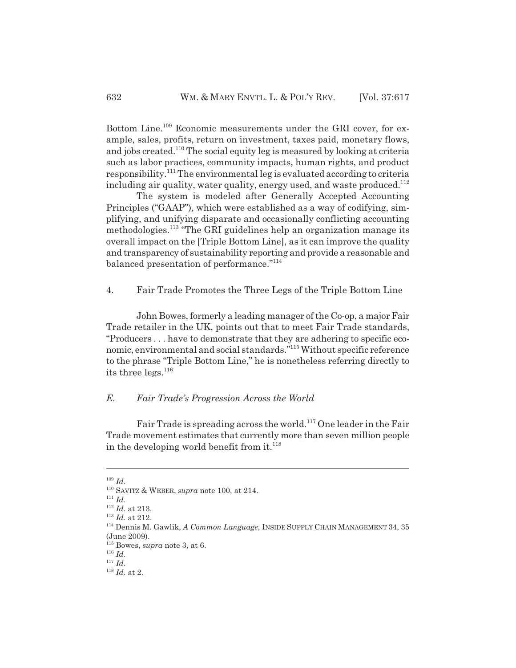Bottom Line.109 Economic measurements under the GRI cover, for example, sales, profits, return on investment, taxes paid, monetary flows, and jobs created.110 The social equity leg is measured by looking at criteria such as labor practices, community impacts, human rights, and product responsibility.111 The environmental leg is evaluated according to criteria including air quality, water quality, energy used, and waste produced.<sup>112</sup>

The system is modeled after Generally Accepted Accounting Principles ("GAAP"), which were established as a way of codifying, simplifying, and unifying disparate and occasionally conflicting accounting methodologies.<sup>113</sup> "The GRI guidelines help an organization manage its overall impact on the [Triple Bottom Line], as it can improve the quality and transparency of sustainability reporting and provide a reasonable and balanced presentation of performance."<sup>114</sup>

4. Fair Trade Promotes the Three Legs of the Triple Bottom Line

John Bowes, formerly a leading manager of the Co-op, a major Fair Trade retailer in the UK, points out that to meet Fair Trade standards, "Producers . . . have to demonstrate that they are adhering to specific economic, environmental and social standards."115 Without specific reference to the phrase "Triple Bottom Line," he is nonetheless referring directly to its three legs.<sup>116</sup>

#### *E. Fair Trade's Progression Across the World*

Fair Trade is spreading across the world.<sup>117</sup> One leader in the Fair Trade movement estimates that currently more than seven million people in the developing world benefit from it. $^{118}$ 

<sup>109</sup> *Id.*

<sup>110</sup> SAVITZ & WEBER, *supra* note 100, at 214.

<sup>111</sup> *Id.*

<sup>112</sup> *Id.* at 213.

<sup>113</sup> *Id.* at 212.

<sup>114</sup> Dennis M. Gawlik, *A Common Language*, INSIDE SUPPLY CHAIN MANAGEMENT 34, 35 (June 2009).

<sup>115</sup> Bowes, *supra* note 3, at 6.

<sup>116</sup> *Id.*

<sup>117</sup> *Id.*

<sup>118</sup> *Id.* at 2.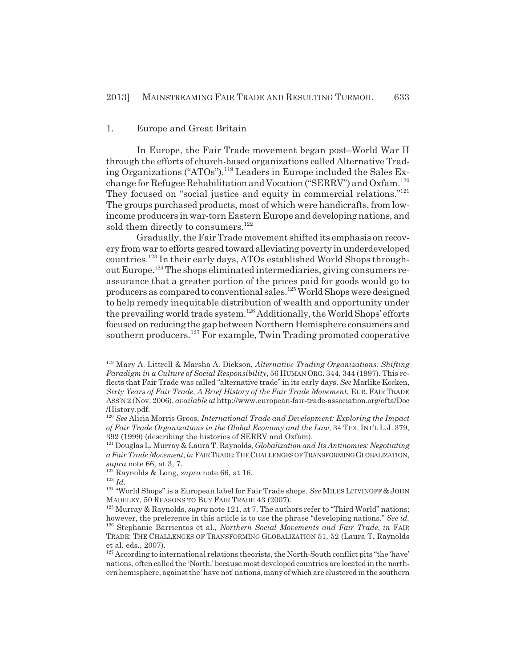#### 1. Europe and Great Britain

In Europe, the Fair Trade movement began post–World War II through the efforts of church-based organizations called Alternative Trading Organizations ("ATOs").119 Leaders in Europe included the Sales Exchange for Refugee Rehabilitation and Vocation ("SERRV") and Oxfam.<sup>120</sup> They focused on "social justice and equity in commercial relations."121 The groups purchased products, most of which were handicrafts, from lowincome producers in war-torn Eastern Europe and developing nations, and sold them directly to consumers.<sup>122</sup>

Gradually, the Fair Trade movement shifted its emphasis on recovery from war to efforts geared toward alleviating poverty in underdeveloped countries.123 In their early days, ATOs established World Shops throughout Europe.124 The shops eliminated intermediaries, giving consumers reassurance that a greater portion of the prices paid for goods would go to producers as compared to conventional sales.125 World Shops were designed to help remedy inequitable distribution of wealth and opportunity under the prevailing world trade system.126 Additionally, the World Shops' efforts focused on reducing the gap between Northern Hemisphere consumers and southern producers.<sup>127</sup> For example, Twin Trading promoted cooperative

<sup>119</sup> Mary A. Littrell & Marsha A. Dickson, *Alternative Trading Organizations: Shifting Paradigm in a Culture of Social Responsibility*, 56 HUMAN ORG. 344, 344 (1997). This reflects that Fair Trade was called "alternative trade" in its early days. *See* Marlike Kocken, *Sixty Years of Fair Trade, A Brief History of the Fair Trade Movement*, EUR. FAIR TRADE ASS'N 2 (Nov. 2006), *available at* http://www.european-fair-trade-association.org/efta/Doc /History.pdf.

<sup>120</sup> *See* Alicia Morris Groos, *International Trade and Development: Exploring the Impact of Fair Trade Organizations in the Global Economy and the Law*, 34 TEX. INT'L L.J. 379, 392 (1999) (describing the histories of SERRV and Oxfam).

<sup>121</sup> Douglas L. Murray & Laura T. Raynolds, *Globalization and Its Antinomies: Negotiating a Fair Trade Movement*, *in* FAIR TRADE:THE CHALLENGES OF TRANSFORMING GLOBALIZATION, *supra* note 66, at 3, 7.

<sup>122</sup> Raynolds & Long, *supra* note 66, at 16.

<sup>123</sup> *Id.*

<sup>124 &</sup>quot;World Shops" is a European label for Fair Trade shops. *See* MILES LITVINOFF & JOHN MADELEY, 50 REASONS TO BUY FAIR TRADE 43 (2007).

<sup>125</sup> Murray & Raynolds, *supra* note 121, at 7. The authors refer to "Third World" nations; however, the preference in this article is to use the phrase "developing nations." *See id.* 126 Stephanie Barrientos et al., *Northern Social Movements and Fair Trade*, *in* FAIR TRADE: THE CHALLENGES OF TRANSFORMING GLOBALIZATION 51, 52 (Laura T. Raynolds et al. eds., 2007).

 $127$  According to international relations theorists, the North-South conflict pits "the 'have' nations, often called the 'North,' because most developed countries are located in the northern hemisphere, against the 'have not' nations, many of which are clustered in the southern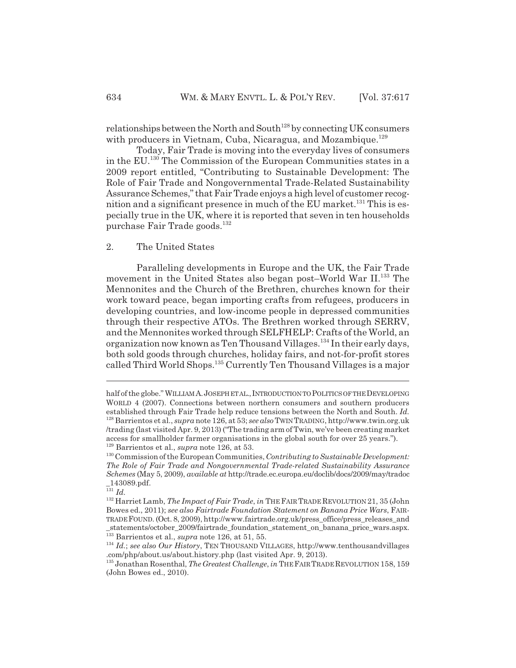relationships between the North and South<sup>128</sup> by connecting UK consumers with producers in Vietnam, Cuba, Nicaragua, and Mozambique.<sup>129</sup>

Today, Fair Trade is moving into the everyday lives of consumers in the EU.130 The Commission of the European Communities states in a 2009 report entitled, "Contributing to Sustainable Development: The Role of Fair Trade and Nongovernmental Trade-Related Sustainability Assurance Schemes," that Fair Trade enjoys a high level of customer recognition and a significant presence in much of the EU market.<sup>131</sup> This is especially true in the UK, where it is reported that seven in ten households purchase Fair Trade goods.132

# 2. The United States

Paralleling developments in Europe and the UK, the Fair Trade movement in the United States also began post–World War II.<sup>133</sup> The Mennonites and the Church of the Brethren, churches known for their work toward peace, began importing crafts from refugees, producers in developing countries, and low-income people in depressed communities through their respective ATOs. The Brethren worked through SERRV, and the Mennonites worked through SELFHELP: Crafts of the World, an organization now known as Ten Thousand Villages.<sup>134</sup> In their early days, both sold goods through churches, holiday fairs, and not-for-profit stores called Third World Shops.135 Currently Ten Thousand Villages is a major

half of the globe." WILLIAM A.JOSEPH ET AL.,INTRODUCTION TO POLITICS OF THE DEVELOPING WORLD 4 (2007). Connections between northern consumers and southern producers established through Fair Trade help reduce tensions between the North and South. *Id.* 128 Barrientos et al., *supra* note 126, at 53; *see also* TWIN TRADING, http://www.twin.org.uk /trading (last visited Apr. 9, 2013) ("The trading arm of Twin, we've been creating market access for smallholder farmer organisations in the global south for over 25 years."). 129 Barrientos et al., *supra* note 126, at 53.

<sup>130</sup> Commission of the European Communities, *Contributing to Sustainable Development: The Role of Fair Trade and Nongovernmental Trade-related Sustainability Assurance Schemes* (May 5, 2009), *available at* http://trade.ec.europa.eu/doclib/docs/2009/may/tradoc \_143089.pdf.

<sup>131</sup> *Id.*

<sup>132</sup> Harriet Lamb, *The Impact of Fair Trade*, *in* THE FAIR TRADE REVOLUTION 21, 35 (John Bowes ed., 2011); *see also Fairtrade Foundation Statement on Banana Price Wars*, FAIR-TRADE FOUND. (Oct. 8, 2009), http://www.fairtrade.org.uk/press\_office/press\_releases\_and \_statements/october\_2009/fairtrade\_foundation\_statement\_on\_banana\_price\_wars.aspx. 133 Barrientos et al., *supra* note 126, at 51, 55.

<sup>134</sup> *Id.*; *see also Our History*, TEN THOUSAND VILLAGES, http://www.tenthousandvillages .com/php/about.us/about.history.php (last visited Apr. 9, 2013).

<sup>135</sup> Jonathan Rosenthal, *The Greatest Challenge*, *in* THE FAIR TRADE REVOLUTION 158, 159 (John Bowes ed., 2010).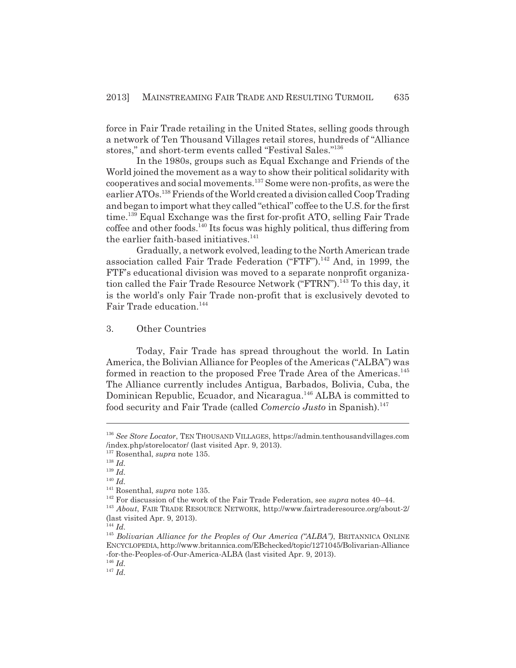force in Fair Trade retailing in the United States, selling goods through a network of Ten Thousand Villages retail stores, hundreds of "Alliance stores," and short-term events called "Festival Sales."136

In the 1980s, groups such as Equal Exchange and Friends of the World joined the movement as a way to show their political solidarity with cooperatives and social movements.<sup>137</sup> Some were non-profits, as were the earlier ATOs.138 Friends of the World created a division called Coop Trading and began to import what they called "ethical" coffee to the U.S. for the first time.<sup>139</sup> Equal Exchange was the first for-profit ATO, selling Fair Trade coffee and other foods.140 Its focus was highly political, thus differing from the earlier faith-based initiatives. $141$ 

Gradually, a network evolved, leading to the North American trade association called Fair Trade Federation ("FTF").<sup>142</sup> And, in 1999, the FTF's educational division was moved to a separate nonprofit organization called the Fair Trade Resource Network ("FTRN").<sup>143</sup> To this day, it is the world's only Fair Trade non-profit that is exclusively devoted to Fair Trade education.<sup>144</sup>

3. Other Countries

Today, Fair Trade has spread throughout the world. In Latin America, the Bolivian Alliance for Peoples of the Americas ("ALBA") was formed in reaction to the proposed Free Trade Area of the Americas.<sup>145</sup> The Alliance currently includes Antigua, Barbados, Bolivia, Cuba, the Dominican Republic, Ecuador, and Nicaragua.<sup>146</sup> ALBA is committed to food security and Fair Trade (called *Comercio Justo* in Spanish).<sup>147</sup>

<sup>146</sup> *Id.* <sup>147</sup> *Id.*

<sup>136</sup> *See Store Locator*, TEN THOUSAND VILLAGES, https://admin.tenthousandvillages.com /index.php/storelocator/ (last visited Apr. 9, 2013).

<sup>137</sup> Rosenthal, *supra* note 135.

<sup>138</sup> *Id.*

<sup>139</sup> *Id.* <sup>140</sup> *Id.*

<sup>141</sup> Rosenthal, *supra* note 135.

<sup>142</sup> For discussion of the work of the Fair Trade Federation, see *supra* notes 40–44.

<sup>143</sup> *About*, FAIR TRADE RESOURCE NETWORK, http://www.fairtraderesource.org/about-2/ (last visited Apr. 9, 2013).

 $^{144}$  *Id.* 

<sup>&</sup>lt;sup>145</sup> *Bolivarian Alliance for the Peoples of Our America ("ALBA")*, BRITANNICA ONLINE ENCYCLOPEDIA, http://www.britannica.com/EBchecked/topic/1271045/Bolivarian-Alliance -for-the-Peoples-of-Our-America-ALBA (last visited Apr. 9, 2013).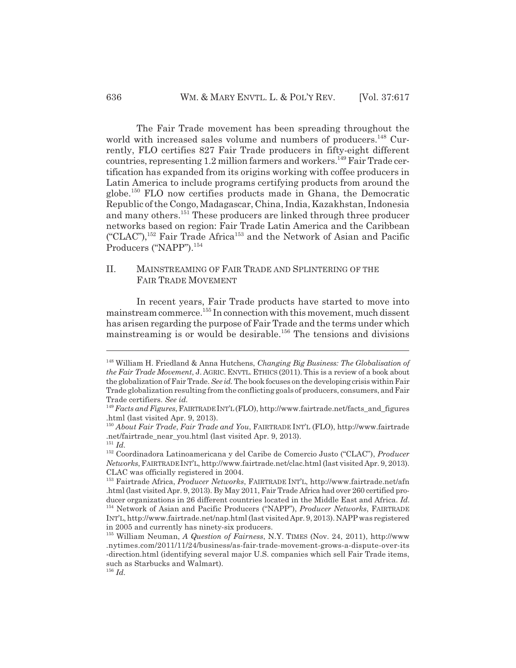The Fair Trade movement has been spreading throughout the world with increased sales volume and numbers of producers.<sup>148</sup> Currently, FLO certifies 827 Fair Trade producers in fifty-eight different  $countries, representing 1.2 million farmers and workers.<sup>149</sup> Fair Trade cer$ tification has expanded from its origins working with coffee producers in Latin America to include programs certifying products from around the globe.150 FLO now certifies products made in Ghana, the Democratic Republic of the Congo, Madagascar, China, India, Kazakhstan, Indonesia and many others.<sup>151</sup> These producers are linked through three producer networks based on region: Fair Trade Latin America and the Caribbean ("CLAC"),152 Fair Trade Africa153 and the Network of Asian and Pacific Producers ("NAPP").<sup>154</sup>

# II. MAINSTREAMING OF FAIR TRADE AND SPLINTERING OF THE FAIR TRADE MOVEMENT

In recent years, Fair Trade products have started to move into mainstream commerce.<sup>155</sup> In connection with this movement, much dissent has arisen regarding the purpose of Fair Trade and the terms under which mainstreaming is or would be desirable.<sup>156</sup> The tensions and divisions

<sup>148</sup> William H. Friedland & Anna Hutchens, *Changing Big Business: The Globalisation of the Fair Trade Movement*, J. AGRIC. ENVTL. ETHICS (2011).This is a review of a book about the globalization of Fair Trade. *See id.* The book focuses on the developing crisis within Fair Trade globalization resulting from the conflicting goals of producers, consumers, and Fair Trade certifiers. *See id.*

<sup>149</sup> *Facts and Figures*, FAIRTRADE INT'L (FLO), http://www.fairtrade.net/facts\_and\_figures .html (last visited Apr. 9, 2013).

<sup>150</sup> *About Fair Trade*, *Fair Trade and You*, FAIRTRADE INT'L (FLO), http://www.fairtrade .net/fairtrade\_near\_you.html (last visited Apr. 9, 2013). <sup>151</sup> *Id.*

<sup>152</sup> Coordinadora Latinoamericana y del Caribe de Comercio Justo ("CLAC"), *Producer Networks*, FAIRTRADE INT'L, http://www.fairtrade.net/clac.html (last visited Apr. 9, 2013). CLAC was officially registered in 2004.

<sup>153</sup> Fairtrade Africa, *Producer Networks*, FAIRTRADE INT'L, http://www.fairtrade.net/afn .html (last visited Apr. 9, 2013). By May 2011, Fair Trade Africa had over 260 certified producer organizations in 26 different countries located in the Middle East and Africa. *Id.* 154 Network of Asian and Pacific Producers ("NAPP"), *Producer Networks*, FAIRTRADE INT'L, http://www.fairtrade.net/nap.html (last visited Apr. 9, 2013). NAPP was registered in 2005 and currently has ninety-six producers.

<sup>155</sup> William Neuman, *A Question of Fairness*, N.Y. TIMES (Nov. 24, 2011), http://www .nytimes.com/2011/11/24/business/as-fair-trade-movement-grows-a-dispute-over-its -direction.html (identifying several major U.S. companies which sell Fair Trade items, such as Starbucks and Walmart).

<sup>156</sup> *Id.*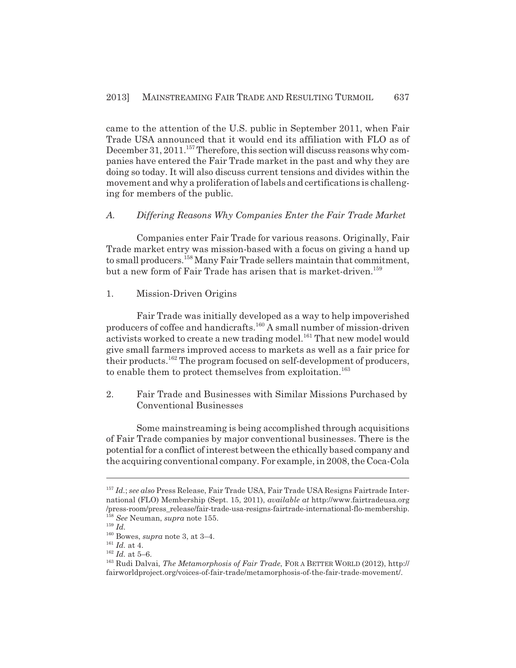came to the attention of the U.S. public in September 2011, when Fair Trade USA announced that it would end its affiliation with FLO as of December 31, 2011.<sup>157</sup> Therefore, this section will discuss reasons why companies have entered the Fair Trade market in the past and why they are doing so today. It will also discuss current tensions and divides within the movement and why a proliferation of labels and certifications is challenging for members of the public.

# *A. Differing Reasons Why Companies Enter the Fair Trade Market*

Companies enter Fair Trade for various reasons. Originally, Fair Trade market entry was mission-based with a focus on giving a hand up to small producers.<sup>158</sup> Many Fair Trade sellers maintain that commitment, but a new form of Fair Trade has arisen that is market-driven.<sup>159</sup>

#### 1. Mission-Driven Origins

Fair Trade was initially developed as a way to help impoverished producers of coffee and handicrafts.<sup>160</sup> A small number of mission-driven activists worked to create a new trading model.<sup>161</sup> That new model would give small farmers improved access to markets as well as a fair price for their products.<sup>162</sup> The program focused on self-development of producers, to enable them to protect themselves from exploitation.<sup>163</sup>

2. Fair Trade and Businesses with Similar Missions Purchased by Conventional Businesses

Some mainstreaming is being accomplished through acquisitions of Fair Trade companies by major conventional businesses. There is the potential for a conflict of interest between the ethically based company and the acquiring conventional company. For example, in 2008, the Coca-Cola

<sup>157</sup> *Id.*; *see also* Press Release, Fair Trade USA, Fair Trade USA Resigns Fairtrade International (FLO) Membership (Sept. 15, 2011), *available at* http://www.fairtradeusa.org /press-room/press\_release/fair-trade-usa-resigns-fairtrade-international-flo-membership. <sup>158</sup> *See* Neuman, *supra* note 155.

<sup>159</sup> *Id.*

<sup>160</sup> Bowes, *supra* note 3, at 3–4.

<sup>161</sup> *Id.* at 4.

 $^{162}$   $\emph{Id.}$  at 5–6.

<sup>163</sup> Rudi Dalvai, *The Metamorphosis of Fair Trade*, FOR A BETTER WORLD (2012), http:// fairworldproject.org/voices-of-fair-trade/metamorphosis-of-the-fair-trade-movement/.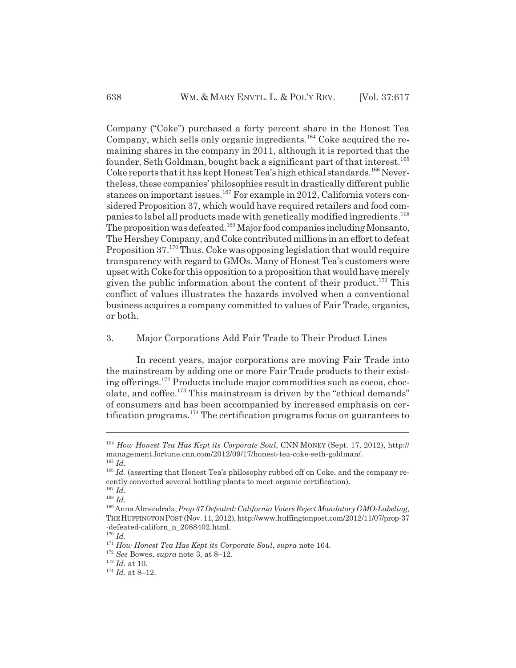Company ("Coke") purchased a forty percent share in the Honest Tea Company, which sells only organic ingredients.164 Coke acquired the remaining shares in the company in 2011, although it is reported that the founder, Seth Goldman, bought back a significant part of that interest.<sup>165</sup> Coke reports that it has kept Honest Tea's high ethical standards.<sup>166</sup> Nevertheless, these companies' philosophies result in drastically different public stances on important issues.<sup>167</sup> For example in 2012, California voters considered Proposition 37, which would have required retailers and food companies to label all products made with genetically modified ingredients.<sup>168</sup> The proposition was defeated.169 Major food companies including Monsanto, The Hershey Company, and Coke contributed millions in an effort to defeat Proposition 37.<sup>170</sup> Thus, Coke was opposing legislation that would require transparency with regard to GMOs. Many of Honest Tea's customers were upset with Coke for this opposition to a proposition that would have merely given the public information about the content of their product.<sup>171</sup> This conflict of values illustrates the hazards involved when a conventional business acquires a company committed to values of Fair Trade, organics, or both.

# 3. Major Corporations Add Fair Trade to Their Product Lines

In recent years, major corporations are moving Fair Trade into the mainstream by adding one or more Fair Trade products to their existing offerings.172 Products include major commodities such as cocoa, chocolate, and coffee.<sup>173</sup> This mainstream is driven by the "ethical demands" of consumers and has been accompanied by increased emphasis on certification programs.174 The certification programs focus on guarantees to

<sup>164</sup> *How Honest Tea Has Kept its Corporate Soul*, CNN MONEY (Sept. 17, 2012), http:// management.fortune.cnn.com/2012/09/17/honest-tea-coke-seth-goldman/.  $^{165}\,$   $ld.$ 

<sup>&</sup>lt;sup>166</sup> *Id.* (asserting that Honest Tea's philosophy rubbed off on Coke, and the company recently converted several bottling plants to meet organic certification).

<sup>167</sup> *Id.*

<sup>168</sup> *Id.*

<sup>169</sup> Anna Almendrala, *Prop 37 Defeated: California Voters Reject Mandatory GMO-Labeling*, THE HUFFINGTON POST (Nov. 11, 2012), http://www.huffingtonpost.com/2012/11/07/prop-37 -defeated-californ\_n\_2088402.html.

<sup>170</sup> *Id.*

<sup>171</sup> *How Honest Tea Has Kept its Corporate Soul*, *supra* note 164.

<sup>172</sup> *See* Bowes, *supra* note 3, at 8–12.

 $173$  *Id.* at 10.

 $174$  *Id.* at 8–12.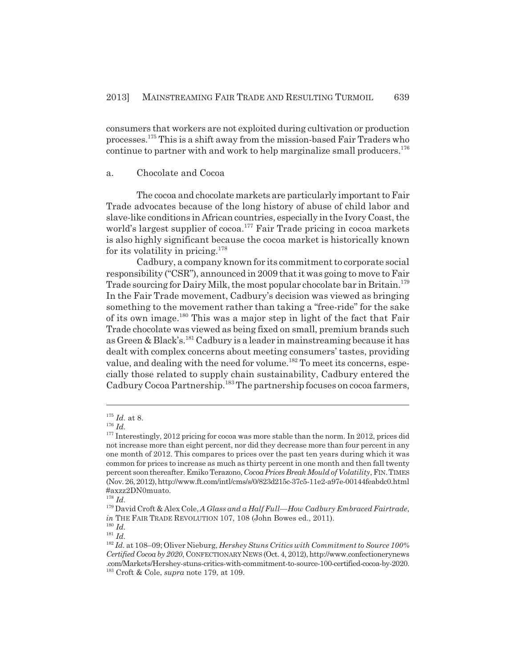consumers that workers are not exploited during cultivation or production processes.175 This is a shift away from the mission-based Fair Traders who continue to partner with and work to help marginalize small producers.<sup>176</sup>

# a. Chocolate and Cocoa

The cocoa and chocolate markets are particularly important to Fair Trade advocates because of the long history of abuse of child labor and slave-like conditions in African countries, especially in the Ivory Coast, the world's largest supplier of cocoa.<sup>177</sup> Fair Trade pricing in cocoa markets is also highly significant because the cocoa market is historically known for its volatility in pricing. $178$ 

Cadbury, a company known for its commitment to corporate social responsibility ("CSR"), announced in 2009 that it was going to move to Fair Trade sourcing for Dairy Milk, the most popular chocolate bar in Britain.<sup>179</sup> In the Fair Trade movement, Cadbury's decision was viewed as bringing something to the movement rather than taking a "free-ride" for the sake of its own image.180 This was a major step in light of the fact that Fair Trade chocolate was viewed as being fixed on small, premium brands such as Green & Black's.<sup>181</sup> Cadbury is a leader in mainstreaming because it has dealt with complex concerns about meeting consumers' tastes, providing value, and dealing with the need for volume.<sup>182</sup> To meet its concerns, especially those related to supply chain sustainability, Cadbury entered the Cadbury Cocoa Partnership.183 The partnership focuses on cocoa farmers,

 $^{\scriptscriptstyle 175}$   $\cal{I}d.$  at 8.

<sup>176</sup> *Id.*

<sup>&</sup>lt;sup>177</sup> Interestingly, 2012 pricing for cocoa was more stable than the norm. In 2012, prices did not increase more than eight percent, nor did they decrease more than four percent in any one month of 2012. This compares to prices over the past ten years during which it was common for prices to increase as much as thirty percent in one month and then fall twenty percent soon thereafter. Emiko Terazono, *Cocoa Prices Break Mould of Volatility*, FIN.TIMES (Nov. 26, 2012), http://www.ft.com/intl/cms/s/0/823d215c-37c5-11e2-a97e-00144feabdc0.html #axzz2DN0muato.

<sup>178</sup> *Id.*

<sup>179</sup> David Croft & Alex Cole,*A Glass and a Half Full—How Cadbury Embraced Fairtrade*, *in* THE FAIR TRADE REVOLUTION 107, 108 (John Bowes ed., 2011).

<sup>180</sup> *Id.*

<sup>181</sup> *Id.*

<sup>182</sup> *Id.* at 108–09; Oliver Nieburg, *Hershey Stuns Critics with Commitment to Source 100% Certified Cocoa by 2020*, CONFECTIONARY NEWS (Oct. 4, 2012), http://www.confectionerynews .com/Markets/Hershey-stuns-critics-with-commitment-to-source-100-certified-cocoa-by-2020. 183 Croft & Cole, *supra* note 179, at 109.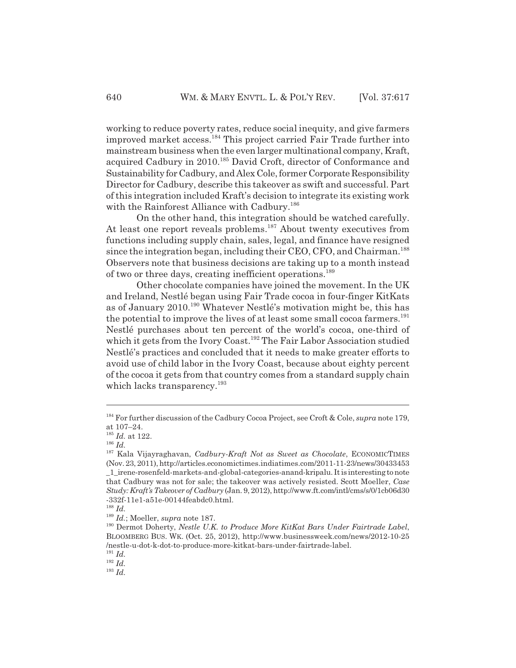working to reduce poverty rates, reduce social inequity, and give farmers improved market access.184 This project carried Fair Trade further into mainstream business when the even larger multinational company, Kraft, acquired Cadbury in 2010.<sup>185</sup> David Croft, director of Conformance and Sustainability for Cadbury, and Alex Cole, former Corporate Responsibility Director for Cadbury, describe this takeover as swift and successful. Part of this integration included Kraft's decision to integrate its existing work with the Rainforest Alliance with Cadbury.<sup>186</sup>

On the other hand, this integration should be watched carefully. At least one report reveals problems.<sup>187</sup> About twenty executives from functions including supply chain, sales, legal, and finance have resigned since the integration began, including their CEO, CFO, and Chairman.<sup>188</sup> Observers note that business decisions are taking up to a month instead of two or three days, creating inefficient operations.<sup>189</sup>

Other chocolate companies have joined the movement. In the UK and Ireland, Nestlé began using Fair Trade cocoa in four-finger KitKats as of January 2010.<sup>190</sup> Whatever Nestlé's motivation might be, this has the potential to improve the lives of at least some small cocoa farmers.<sup>191</sup> Nestlé purchases about ten percent of the world's cocoa, one-third of which it gets from the Ivory Coast.<sup>192</sup> The Fair Labor Association studied Nestlé's practices and concluded that it needs to make greater efforts to avoid use of child labor in the Ivory Coast, because about eighty percent of the cocoa it gets from that country comes from a standard supply chain which lacks transparency.<sup>193</sup>

<sup>191</sup> *Id.*

<sup>184</sup> For further discussion of the Cadbury Cocoa Project, see Croft & Cole, *supra* note 179, at 107–24.

<sup>185</sup> *Id.* at 122.

<sup>186</sup> *Id.*

<sup>187</sup> Kala Vijayraghavan, *Cadbury-Kraft Not as Sweet as Chocolate*, ECONOMICTIMES (Nov. 23, 2011), http://articles.economictimes.indiatimes.com/2011-11-23/news/30433453 \_1\_irene-rosenfeld-markets-and-global-categories-anand-kripalu. It is interesting to note that Cadbury was not for sale; the takeover was actively resisted. Scott Moeller, *Case Study: Kraft's Takeover of Cadbury* (Jan. 9, 2012), http://www.ft.com/intl/cms/s/0/1cb06d30 -332f-11e1-a51e-00144feabdc0.html.

<sup>188</sup> *Id.*

<sup>189</sup> *Id.*; Moeller, *supra* note 187.

<sup>190</sup> Dermot Doherty, *Nestle U.K. to Produce More KitKat Bars Under Fairtrade Label*, BLOOMBERG BUS. WK. (Oct. 25, 2012), http://www.businessweek.com/news/2012-10-25 /nestle-u-dot-k-dot-to-produce-more-kitkat-bars-under-fairtrade-label.

<sup>192</sup> *Id.*

<sup>193</sup> *Id.*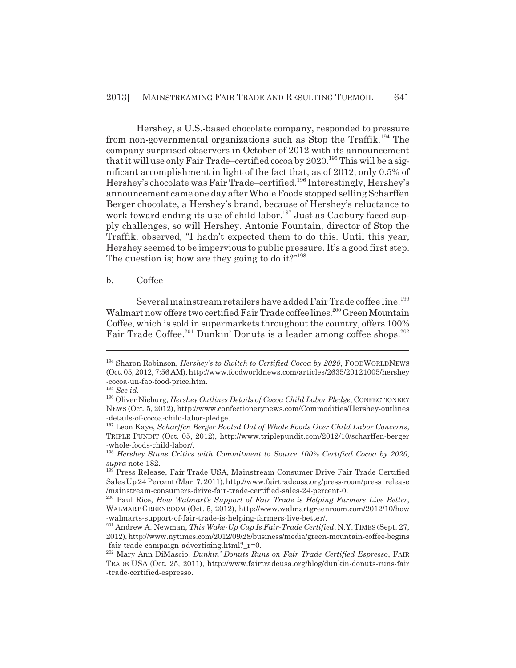Hershey, a U.S.-based chocolate company, responded to pressure from non-governmental organizations such as Stop the Traffik.<sup>194</sup> The company surprised observers in October of 2012 with its announcement that it will use only Fair Trade–certified cocoa by  $2020.^{195}$  This will be a significant accomplishment in light of the fact that, as of 2012, only 0.5% of Hershey's chocolate was Fair Trade–certified.<sup>196</sup> Interestingly, Hershey's announcement came one day after Whole Foods stopped selling Scharffen Berger chocolate, a Hershey's brand, because of Hershey's reluctance to work toward ending its use of child labor.<sup>197</sup> Just as Cadbury faced supply challenges, so will Hershey. Antonie Fountain, director of Stop the Traffik, observed, "I hadn't expected them to do this. Until this year, Hershey seemed to be impervious to public pressure. It's a good first step. The question is; how are they going to do it?"<sup>198</sup>

#### b. Coffee

Several mainstream retailers have added Fair Trade coffee line.<sup>199</sup> Walmart now offers two certified Fair Trade coffee lines.<sup>200</sup> Green Mountain Coffee, which is sold in supermarkets throughout the country, offers 100% Fair Trade Coffee.<sup>201</sup> Dunkin' Donuts is a leader among coffee shops.<sup>202</sup>

<sup>194</sup> Sharon Robinson, *Hershey's to Switch to Certified Cocoa by 2020*, FOODWORLDNEWS (Oct. 05, 2012, 7:56 AM), http://www.foodworldnews.com/articles/2635/20121005/hershey -cocoa-un-fao-food-price.htm.

<sup>195</sup> *See id.*

<sup>196</sup> Oliver Nieburg, *Hershey Outlines Details of Cocoa Child Labor Pledge*, CONFECTIONERY NEWS (Oct. 5, 2012), http://www.confectionerynews.com/Commodities/Hershey-outlines -details-of-cocoa-child-labor-pledge.

<sup>197</sup> Leon Kaye, *Scharffen Berger Booted Out of Whole Foods Over Child Labor Concerns*, TRIPLE PUNDIT (Oct. 05, 2012), http://www.triplepundit.com/2012/10/scharffen-berger -whole-foods-child-labor/.

<sup>198</sup> *Hershey Stuns Critics with Commitment to Source 100% Certified Cocoa by 2020*, *supra* note 182.

<sup>199</sup> Press Release, Fair Trade USA, Mainstream Consumer Drive Fair Trade Certified Sales Up 24 Percent (Mar. 7, 2011), http://www.fairtradeusa.org/press-room/press\_release /mainstream-consumers-drive-fair-trade-certified-sales-24-percent-0.

<sup>200</sup> Paul Rice, *How Walmart's Support of Fair Trade is Helping Farmers Live Better*, WALMART GREENROOM (Oct. 5, 2012), http://www.walmartgreenroom.com/2012/10/how -walmarts-support-of-fair-trade-is-helping-farmers-live-better/.

<sup>201</sup> Andrew A. Newman, *This Wake-Up Cup Is Fair-Trade Certified*, N.Y.TIMES (Sept. 27, 2012), http://www.nytimes.com/2012/09/28/business/media/green-mountain-coffee-begins -fair-trade-campaign-advertising.html?\_r=0.

<sup>202</sup> Mary Ann DiMascio, *Dunkin' Donuts Runs on Fair Trade Certified Espresso*, FAIR TRADE USA (Oct. 25, 2011), http://www.fairtradeusa.org/blog/dunkin-donuts-runs-fair -trade-certified-espresso.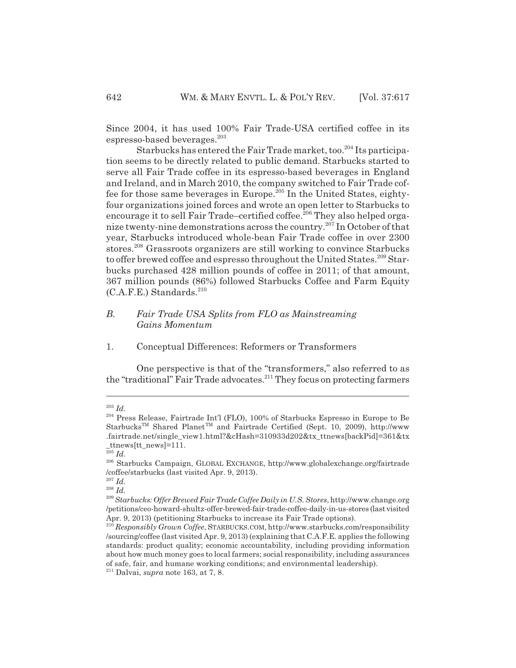Since 2004, it has used 100% Fair Trade-USA certified coffee in its espresso-based beverages.<sup>203</sup>

Starbucks has entered the Fair Trade market, too.<sup>204</sup> Its participation seems to be directly related to public demand. Starbucks started to serve all Fair Trade coffee in its espresso-based beverages in England and Ireland, and in March 2010, the company switched to Fair Trade coffee for those same beverages in Europe.<sup>205</sup> In the United States, eightyfour organizations joined forces and wrote an open letter to Starbucks to encourage it to sell Fair Trade–certified coffee.<sup>206</sup> They also helped organize twenty-nine demonstrations across the country.<sup>207</sup> In October of that year, Starbucks introduced whole-bean Fair Trade coffee in over 2300 stores.208 Grassroots organizers are still working to convince Starbucks to offer brewed coffee and espresso throughout the United States.<sup>209</sup> Starbucks purchased 428 million pounds of coffee in 2011; of that amount, 367 million pounds (86%) followed Starbucks Coffee and Farm Equity  $(C.A.F.E.)$  Standards.<sup>210</sup>

# *B. Fair Trade USA Splits from FLO as Mainstreaming Gains Momentum*

1. Conceptual Differences: Reformers or Transformers

One perspective is that of the "transformers," also referred to as the "traditional" Fair Trade advocates.<sup>211</sup> They focus on protecting farmers

<sup>203</sup> *Id.*

<sup>204</sup> Press Release, Fairtrade Int'l (FLO), 100% of Starbucks Espresso in Europe to Be Starbucks<sup>™</sup> Shared Planet<sup>™</sup> and Fairtrade Certified (Sept. 10, 2009), http://www .fairtrade.net/single\_view1.html?&cHash=310933d202&tx\_ttnews[backPid]=361&tx \_ttnews[tt\_news]=111.

<sup>205</sup> *Id.*

<sup>206</sup> Starbucks Campaign, GLOBAL EXCHANGE, http://www.globalexchange.org/fairtrade /coffee/starbucks (last visited Apr. 9, 2013).

<sup>207</sup> *Id.*

<sup>208</sup> *Id.*

<sup>209</sup>*Starbucks: Offer Brewed Fair Trade Coffee Daily in U.S. Stores*, http://www.change.org /petitions/ceo-howard-shultz-offer-brewed-fair-trade-coffee-daily-in-us-stores (last visited Apr. 9, 2013) (petitioning Starbucks to increase its Fair Trade options).

<sup>210</sup> *Responsibly Grown Coffee*, STARBUCKS.COM, http://www.starbucks.com/responsibility /sourcing/coffee (last visited Apr. 9, 2013) (explaining that C.A.F.E. applies the following standards: product quality; economic accountability, including providing information about how much money goes to local farmers; social responsibility, including assurances of safe, fair, and humane working conditions; and environmental leadership).

<sup>211</sup> Dalvai, *supra* note 163, at 7, 8.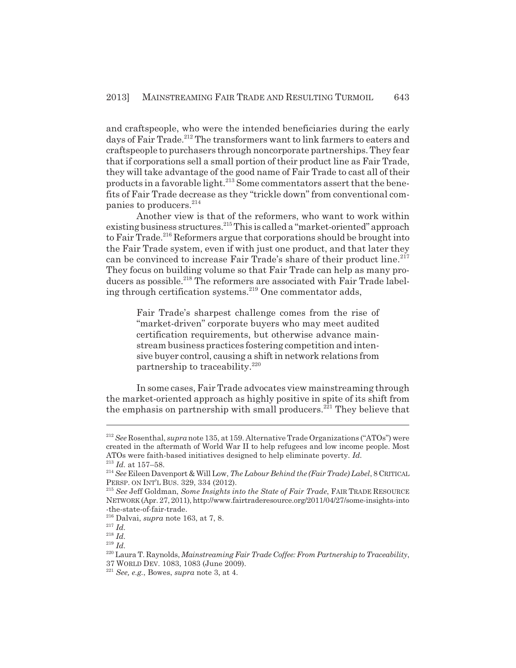and craftspeople, who were the intended beneficiaries during the early days of Fair Trade.<sup>212</sup> The transformers want to link farmers to eaters and craftspeople to purchasers through noncorporate partnerships. They fear that if corporations sell a small portion of their product line as Fair Trade, they will take advantage of the good name of Fair Trade to cast all of their products in a favorable light.<sup>213</sup> Some commentators assert that the benefits of Fair Trade decrease as they "trickle down" from conventional companies to producers.<sup>214</sup>

Another view is that of the reformers, who want to work within existing business structures.215 This is called a "market-oriented" approach to Fair Trade.<sup>216</sup> Reformers argue that corporations should be brought into the Fair Trade system, even if with just one product, and that later they can be convinced to increase Fair Trade's share of their product line.<sup>217</sup> They focus on building volume so that Fair Trade can help as many producers as possible.<sup>218</sup> The reformers are associated with Fair Trade labeling through certification systems.<sup>219</sup> One commentator adds,

Fair Trade's sharpest challenge comes from the rise of "market-driven" corporate buyers who may meet audited certification requirements, but otherwise advance mainstream business practices fostering competition and intensive buyer control, causing a shift in network relations from partnership to traceability.<sup>220</sup>

In some cases, Fair Trade advocates view mainstreaming through the market-oriented approach as highly positive in spite of its shift from the emphasis on partnership with small producers.<sup>221</sup> They believe that

<sup>212</sup> *See* Rosenthal, *supra* note 135, at 159. Alternative Trade Organizations ("ATOs") were created in the aftermath of World War II to help refugees and low income people. Most ATOs were faith-based initiatives designed to help eliminate poverty. *Id.* <sup>213</sup> *Id.* at 157–58.

<sup>214</sup> *See* Eileen Davenport & Will Low, *The Labour Behind the (Fair Trade) Label*, 8 CRITICAL

PERSP. ON INT'L BUS. 329, 334 (2012).

<sup>215</sup> *See* Jeff Goldman, *Some Insights into the State of Fair Trade*, FAIR TRADE RESOURCE NETWORK (Apr. 27, 2011), http://www.fairtraderesource.org/2011/04/27/some-insights-into -the-state-of-fair-trade.

<sup>216</sup> Dalvai, *supra* note 163, at 7, 8.

<sup>217</sup> *Id.*

<sup>218</sup> *Id.*

<sup>219</sup> *Id.*

<sup>220</sup> Laura T. Raynolds, *Mainstreaming Fair Trade Coffee: From Partnership to Traceability*,

<sup>37</sup> WORLD DEV. 1083, 1083 (June 2009).

<sup>221</sup> *See, e.g.*, Bowes, *supra* note 3, at 4.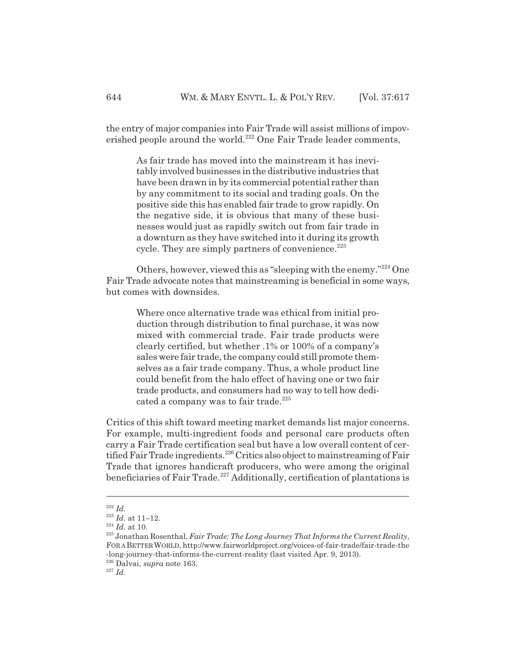the entry of major companies into Fair Trade will assist millions of impoverished people around the world.<sup>222</sup> One Fair Trade leader comments,

As fair trade has moved into the mainstream it has inevitably involved businesses in the distributive industries that have been drawn in by its commercial potential rather than by any commitment to its social and trading goals. On the positive side this has enabled fair trade to grow rapidly. On the negative side, it is obvious that many of these businesses would just as rapidly switch out from fair trade in a downturn as they have switched into it during its growth cycle. They are simply partners of convenience. $^{223}$ 

Others, however, viewed this as "sleeping with the enemy."224 One Fair Trade advocate notes that mainstreaming is beneficial in some ways, but comes with downsides.

Where once alternative trade was ethical from initial production through distribution to final purchase, it was now mixed with commercial trade. Fair trade products were clearly certified, but whether .1% or 100% of a company's sales were fair trade, the company could still promote themselves as a fair trade company. Thus, a whole product line could benefit from the halo effect of having one or two fair trade products, and consumers had no way to tell how dedicated a company was to fair trade.<sup>225</sup>

Critics of this shift toward meeting market demands list major concerns. For example, multi-ingredient foods and personal care products often carry a Fair Trade certification seal but have a low overall content of certified Fair Trade ingredients.<sup>226</sup> Critics also object to mainstreaming of Fair Trade that ignores handicraft producers, who were among the original beneficiaries of Fair Trade.<sup>227</sup> Additionally, certification of plantations is

<sup>222</sup> *Id.*

<sup>223</sup> *Id.* at 11–12.

<sup>224</sup> *Id.* at 10.

<sup>225</sup> Jonathan Rosenthal, *Fair Trade: The Long Journey That Informs the Current Reality*, FOR A BETTER WORLD, http://www.fairworldproject.org/voices-of-fair-trade/fair-trade-the -long-journey-that-informs-the-current-reality (last visited Apr. 9, 2013).

<sup>226</sup> Dalvai, *supra* note 163.

<sup>227</sup> *Id.*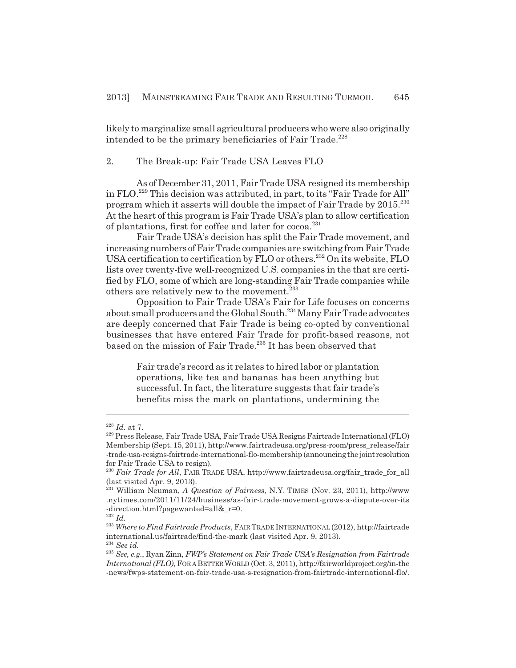likely to marginalize small agricultural producers who were also originally intended to be the primary beneficiaries of Fair Trade.<sup>228</sup>

2. The Break-up: Fair Trade USA Leaves FLO

As of December 31, 2011, Fair Trade USA resigned its membership in FLO.229 This decision was attributed, in part, to its "Fair Trade for All" program which it asserts will double the impact of Fair Trade by 2015.<sup>230</sup> At the heart of this program is Fair Trade USA's plan to allow certification of plantations, first for coffee and later for cocoa.<sup>231</sup>

Fair Trade USA's decision has split the Fair Trade movement, and increasing numbers of Fair Trade companies are switching from Fair Trade USA certification to certification by FLO or others.<sup>232</sup> On its website, FLO lists over twenty-five well-recognized U.S. companies in the that are certified by FLO, some of which are long-standing Fair Trade companies while others are relatively new to the movement.<sup>233</sup>

Opposition to Fair Trade USA's Fair for Life focuses on concerns about small producers and the Global South.<sup>234</sup> Many Fair Trade advocates are deeply concerned that Fair Trade is being co-opted by conventional businesses that have entered Fair Trade for profit-based reasons, not based on the mission of Fair Trade.<sup>235</sup> It has been observed that

Fair trade's record as it relates to hired labor or plantation operations, like tea and bananas has been anything but successful. In fact, the literature suggests that fair trade's benefits miss the mark on plantations, undermining the

 $\real^{228}$   $Id.$  at 7.

<sup>229</sup> Press Release, Fair Trade USA, Fair Trade USA Resigns Fairtrade International (FLO) Membership (Sept. 15, 2011), http://www.fairtradeusa.org/press-room/press\_release/fair -trade-usa-resigns-fairtrade-international-flo-membership (announcing the joint resolution for Fair Trade USA to resign).

<sup>&</sup>lt;sup>230</sup> Fair Trade for All, FAIR TRADE USA, http://www.fairtradeusa.org/fair\_trade\_for\_all (last visited Apr. 9, 2013).

<sup>231</sup> William Neuman, *A Question of Fairness*, N.Y. TIMES (Nov. 23, 2011), http://www .nytimes.com/2011/11/24/business/as-fair-trade-movement-grows-a-dispute-over-its -direction.html?pagewanted=all&\_r=0.

<sup>232</sup> *Id.*

<sup>233</sup> *Where to Find Fairtrade Products*, FAIR TRADE INTERNATIONAL (2012), http://fairtrade international.us/fairtrade/find-the-mark (last visited Apr. 9, 2013). <sup>234</sup> *See id.*

<sup>235</sup> *See, e.g.*, Ryan Zinn, *FWP's Statement on Fair Trade USA's Resignation from Fairtrade International (FLO)*, FOR A BETTER WORLD (Oct. 3, 2011), http://fairworldproject.org/in-the -news/fwps-statement-on-fair-trade-usa-s-resignation-from-fairtrade-international-flo/.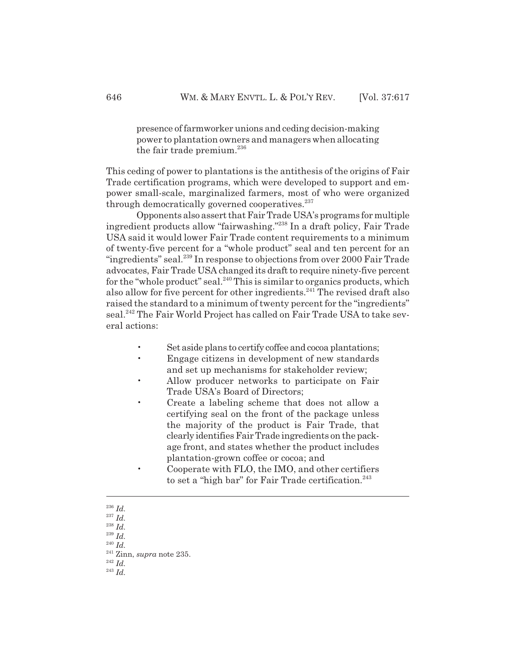presence of farmworker unions and ceding decision-making power to plantation owners and managers when allocating the fair trade premium. $^{236}$ 

This ceding of power to plantations is the antithesis of the origins of Fair Trade certification programs, which were developed to support and empower small-scale, marginalized farmers, most of who were organized through democratically governed cooperatives. $237$ 

Opponents also assert that Fair Trade USA's programs for multiple ingredient products allow "fairwashing."238 In a draft policy, Fair Trade USA said it would lower Fair Trade content requirements to a minimum of twenty-five percent for a "whole product" seal and ten percent for an "ingredients" seal.<sup>239</sup> In response to objections from over 2000 Fair Trade advocates, Fair Trade USA changed its draft to require ninety-five percent for the "whole product" seal. $^{240}$  This is similar to organics products, which also allow for five percent for other ingredients.<sup>241</sup> The revised draft also raised the standard to a minimum of twenty percent for the "ingredients" seal.<sup>242</sup> The Fair World Project has called on Fair Trade USA to take several actions:

- Set aside plans to certify coffee and cocoa plantations;
- Engage citizens in development of new standards and set up mechanisms for stakeholder review;
- Allow producer networks to participate on Fair Trade USA's Board of Directors;
- Create a labeling scheme that does not allow a certifying seal on the front of the package unless the majority of the product is Fair Trade, that clearly identifies Fair Trade ingredients on the package front, and states whether the product includes plantation-grown coffee or cocoa; and
- Cooperate with FLO, the IMO, and other certifiers to set a "high bar" for Fair Trade certification. $243$

<sup>236</sup> *Id.*

<sup>237</sup> *Id.*

<sup>238</sup> *Id.*

<sup>239</sup> *Id.*

<sup>240</sup> *Id.*

<sup>241</sup> Zinn, *supra* note 235.

<sup>242</sup> *Id.*

<sup>243</sup> *Id.*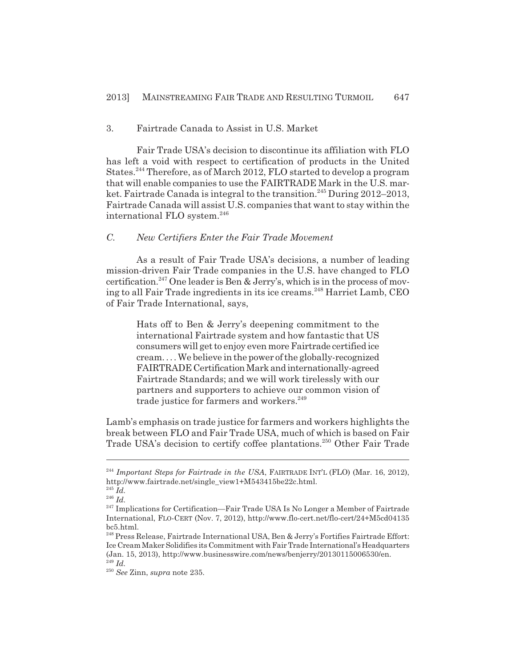# 3. Fairtrade Canada to Assist in U.S. Market

Fair Trade USA's decision to discontinue its affiliation with FLO has left a void with respect to certification of products in the United States.<sup>244</sup> Therefore, as of March 2012, FLO started to develop a program that will enable companies to use the FAIRTRADE Mark in the U.S. market. Fairtrade Canada is integral to the transition.<sup>245</sup> During 2012–2013, Fairtrade Canada will assist U.S. companies that want to stay within the international FLO system.<sup>246</sup>

# *C. New Certifiers Enter the Fair Trade Movement*

As a result of Fair Trade USA's decisions, a number of leading mission-driven Fair Trade companies in the U.S. have changed to FLO certification.<sup>247</sup> One leader is Ben & Jerry's, which is in the process of moving to all Fair Trade ingredients in its ice creams.<sup>248</sup> Harriet Lamb, CEO of Fair Trade International, says,

Hats off to Ben & Jerry's deepening commitment to the international Fairtrade system and how fantastic that US consumers will get to enjoy even more Fairtrade certified ice cream. . . . We believe in the power of the globally-recognized FAIRTRADE Certification Mark and internationally-agreed Fairtrade Standards; and we will work tirelessly with our partners and supporters to achieve our common vision of trade justice for farmers and workers.<sup>249</sup>

Lamb's emphasis on trade justice for farmers and workers highlights the break between FLO and Fair Trade USA, much of which is based on Fair Trade USA's decision to certify coffee plantations.<sup>250</sup> Other Fair Trade

<sup>&</sup>lt;sup>244</sup> Important Steps for Fairtrade in the USA, FAIRTRADE INT'L (FLO) (Mar. 16, 2012), http://www.fairtrade.net/single\_view1+M543415be22c.html.

<sup>245</sup> *Id.*

<sup>246</sup> *Id.*

<sup>&</sup>lt;sup>247</sup> Implications for Certification—Fair Trade USA Is No Longer a Member of Fairtrade International, FLO-CERT (Nov. 7, 2012), http://www.flo-cert.net/flo-cert/24+M5cd04135 bc5.html.

<sup>248</sup> Press Release, Fairtrade International USA, Ben & Jerry's Fortifies Fairtrade Effort: Ice Cream Maker Solidifies its Commitment with Fair Trade International's Headquarters (Jan. 15, 2013), http://www.businesswire.com/news/benjerry/20130115006530/en. <sup>249</sup> *Id.*

<sup>250</sup> *See* Zinn, *supra* note 235.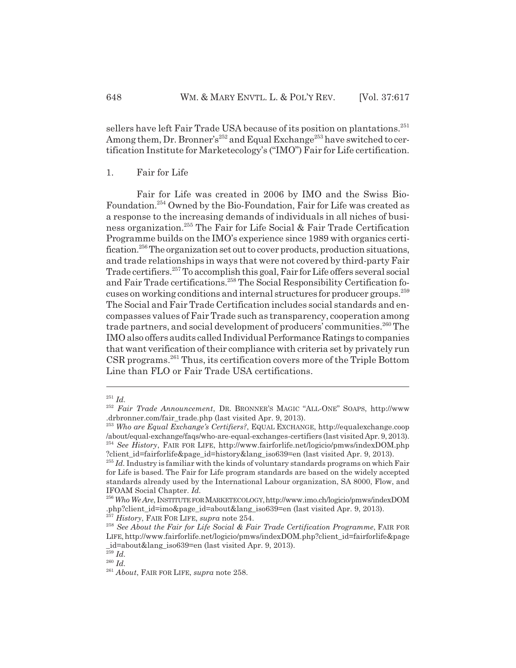sellers have left Fair Trade USA because of its position on plantations.<sup>251</sup> Among them, Dr. Bronner's<sup>252</sup> and Equal Exchange<sup>253</sup> have switched to certification Institute for Marketecology's ("IMO") Fair for Life certification.

# 1. Fair for Life

Fair for Life was created in 2006 by IMO and the Swiss Bio-Foundation.254 Owned by the Bio-Foundation, Fair for Life was created as a response to the increasing demands of individuals in all niches of business organization.255 The Fair for Life Social & Fair Trade Certification Programme builds on the IMO's experience since 1989 with organics certification.<sup>256</sup> The organization set out to cover products, production situations, and trade relationships in ways that were not covered by third-party Fair Trade certifiers.<sup>257</sup> To accomplish this goal, Fair for Life offers several social and Fair Trade certifications.<sup>258</sup> The Social Responsibility Certification focuses on working conditions and internal structures for producer groups.259 The Social and Fair Trade Certification includes social standards and encompasses values of Fair Trade such as transparency, cooperation among trade partners, and social development of producers' communities.<sup>260</sup> The IMO also offers audits called Individual Performance Ratings to companies that want verification of their compliance with criteria set by privately run CSR programs.261 Thus, its certification covers more of the Triple Bottom Line than FLO or Fair Trade USA certifications.

<sup>251</sup> *Id.*

<sup>252</sup> *Fair Trade Announcement*, DR. BRONNER'S MAGIC "ALL-ONE" SOAPS, http://www .drbronner.com/fair\_trade.php (last visited Apr. 9, 2013).

<sup>253</sup> *Who are Equal Exchange's Certifiers?*, EQUAL EXCHANGE, http://equalexchange.coop /about/equal-exchange/faqs/who-are-equal-exchanges-certifiers (last visited Apr. 9, 2013). <sup>254</sup> *See History*, FAIR FOR LIFE, http://www.fairforlife.net/logicio/pmws/indexDOM.php ?client\_id=fairforlife&page\_id=history&lang\_iso639=en (last visited Apr. 9, 2013).

<sup>&</sup>lt;sup>255</sup> *Id.* Industry is familiar with the kinds of voluntary standards programs on which Fair for Life is based. The Fair for Life program standards are based on the widely accepted standards already used by the International Labour organization, SA 8000, Flow, and IFOAM Social Chapter. *Id.*

<sup>256</sup> *Who We Are*, INSTITUTE FOR MARKETECOLOGY,http://www.imo.ch/logicio/pmws/indexDOM .php?client\_id=imo&page\_id=about&lang\_iso639=en (last visited Apr. 9, 2013).

<sup>257</sup> *History*, FAIR FOR LIFE, *supra* note 254.

<sup>258</sup> *See About the Fair for Life Social & Fair Trade Certification Programme*, FAIR FOR LIFE, http://www.fairforlife.net/logicio/pmws/indexDOM.php?client\_id=fairforlife&page \_id=about&lang\_iso639=en (last visited Apr. 9, 2013).

<sup>259</sup> *Id.* <sup>260</sup> *Id.*

<sup>261</sup> *About*, FAIR FOR LIFE, *supra* note 258.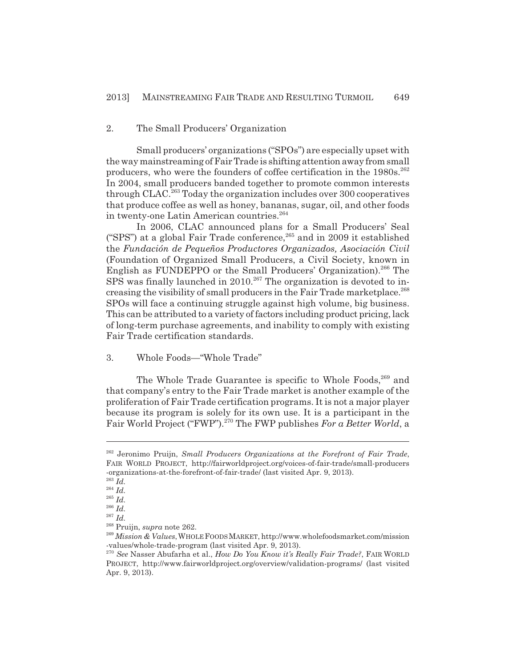## 2. The Small Producers' Organization

Small producers' organizations ("SPOs") are especially upset with the way mainstreaming of Fair Trade is shifting attention away from small producers, who were the founders of coffee certification in the 1980s.<sup>262</sup> In 2004, small producers banded together to promote common interests through  $CLAC<sup>263</sup>$  Today the organization includes over 300 cooperatives that produce coffee as well as honey, bananas, sugar, oil, and other foods in twenty-one Latin American countries.<sup>264</sup>

In 2006, CLAC announced plans for a Small Producers' Seal ("SPS") at a global Fair Trade conference, $265$  and in 2009 it established the *Fundación de Pequeños Productores Organizados, Asociación Civil* (Foundation of Organized Small Producers, a Civil Society, known in English as FUNDEPPO or the Small Producers' Organization).<sup>266</sup> The SPS was finally launched in  $2010$ <sup>267</sup> The organization is devoted to increasing the visibility of small producers in the Fair Trade marketplace.<sup>268</sup> SPOs will face a continuing struggle against high volume, big business. This can be attributed to a variety of factors including product pricing, lack of long-term purchase agreements, and inability to comply with existing Fair Trade certification standards.

# 3. Whole Foods—"Whole Trade"

The Whole Trade Guarantee is specific to Whole Foods.<sup>269</sup> and that company's entry to the Fair Trade market is another example of the proliferation of Fair Trade certification programs. It is not a major player because its program is solely for its own use. It is a participant in the Fair World Project ("FWP").<sup>270</sup> The FWP publishes *For a Better World*, a

<sup>262</sup> Jeronimo Pruijn, *Small Producers Organizations at the Forefront of Fair Trade*, FAIR WORLD PROJECT, http://fairworldproject.org/voices-of-fair-trade/small-producers -organizations-at-the-forefront-of-fair-trade/ (last visited Apr. 9, 2013).

<sup>263</sup> *Id.*

<sup>264</sup> *Id.*

<sup>265</sup> *Id.*

<sup>266</sup> *Id.* <sup>267</sup> *Id.*

<sup>268</sup> Pruijn, *supra* note 262.

<sup>269</sup> *Mission & Values*,WHOLE FOODS MARKET, http://www.wholefoodsmarket.com/mission -values/whole-trade-program (last visited Apr. 9, 2013).

<sup>270</sup> *See* Nasser Abufarha et al., *How Do You Know it's Really Fair Trade?*, FAIR WORLD PROJECT, http://www.fairworldproject.org/overview/validation-programs/ (last visited Apr. 9, 2013).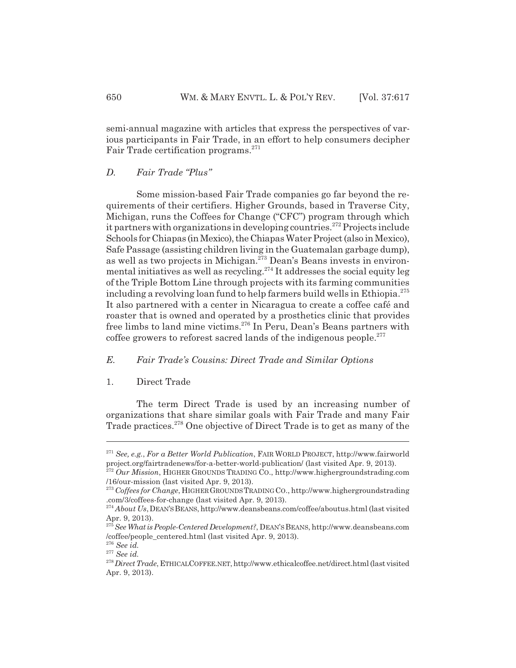semi-annual magazine with articles that express the perspectives of various participants in Fair Trade, in an effort to help consumers decipher Fair Trade certification programs.<sup>271</sup>

# *D. Fair Trade "Plus"*

Some mission-based Fair Trade companies go far beyond the requirements of their certifiers. Higher Grounds, based in Traverse City, Michigan, runs the Coffees for Change ("CFC") program through which it partners with organizations in developing countries.<sup>272</sup> Projects include Schools for Chiapas (in Mexico), the Chiapas Water Project (also in Mexico), Safe Passage (assisting children living in the Guatemalan garbage dump), as well as two projects in Michigan.<sup>273</sup> Dean's Beans invests in environmental initiatives as well as recycling.<sup>274</sup> It addresses the social equity leg of the Triple Bottom Line through projects with its farming communities including a revolving loan fund to help farmers build wells in Ethiopia.<sup>275</sup> It also partnered with a center in Nicaragua to create a coffee café and roaster that is owned and operated by a prosthetics clinic that provides free limbs to land mine victims.276 In Peru, Dean's Beans partners with coffee growers to reforest sacred lands of the indigenous people. $277$ 

# *E. Fair Trade's Cousins: Direct Trade and Similar Options*

## 1. Direct Trade

The term Direct Trade is used by an increasing number of organizations that share similar goals with Fair Trade and many Fair Trade practices.<sup>278</sup> One objective of Direct Trade is to get as many of the

<sup>271</sup> *See, e.g.*, *For a Better World Publication*, FAIR WORLD PROJECT, http://www.fairworld project.org/fairtradenews/for-a-better-world-publication/ (last visited Apr. 9, 2013).

<sup>272</sup> *Our Mission*, HIGHER GROUNDS TRADING CO., http://www.highergroundstrading.com /16/our-mission (last visited Apr. 9, 2013).

<sup>273</sup> *Coffees for Change*, HIGHER GROUNDS TRADING CO., http://www.highergroundstrading .com/3/coffees-for-change (last visited Apr. 9, 2013).

<sup>&</sup>lt;sup>274</sup> About Us, DEAN'S BEANS, http://www.deansbeans.com/coffee/aboutus.html (last visited Apr. 9, 2013).

<sup>275</sup>*See What is People-Centered Development?*, DEAN'S BEANS, http://www.deansbeans.com /coffee/people\_centered.html (last visited Apr. 9, 2013).

<sup>276</sup> *See id.*

<sup>277</sup> *See id.*

<sup>278</sup>*Direct Trade*, ETHICALCOFFEE.NET, http://www.ethicalcoffee.net/direct.html (last visited Apr. 9, 2013).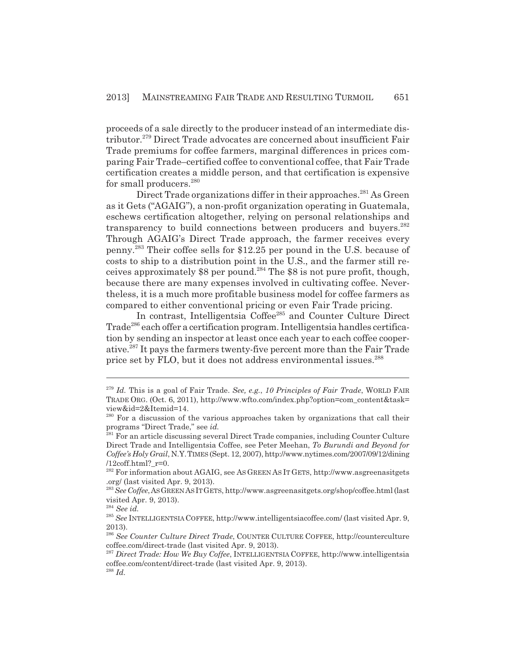proceeds of a sale directly to the producer instead of an intermediate distributor.<sup>279</sup> Direct Trade advocates are concerned about insufficient Fair Trade premiums for coffee farmers, marginal differences in prices comparing Fair Trade–certified coffee to conventional coffee, that Fair Trade certification creates a middle person, and that certification is expensive for small producers.<sup>280</sup>

Direct Trade organizations differ in their approaches.<sup>281</sup> As Green as it Gets ("AGAIG"), a non-profit organization operating in Guatemala, eschews certification altogether, relying on personal relationships and transparency to build connections between producers and buyers.<sup>282</sup> Through AGAIG's Direct Trade approach, the farmer receives every penny.283 Their coffee sells for \$12.25 per pound in the U.S. because of costs to ship to a distribution point in the U.S., and the farmer still receives approximately \$8 per pound.284 The \$8 is not pure profit, though, because there are many expenses involved in cultivating coffee. Nevertheless, it is a much more profitable business model for coffee farmers as compared to either conventional pricing or even Fair Trade pricing.

In contrast, Intelligentsia Coffee<sup>285</sup> and Counter Culture Direct Trade<sup>286</sup> each offer a certification program. Intelligentsia handles certification by sending an inspector at least once each year to each coffee cooperative.287 It pays the farmers twenty-five percent more than the Fair Trade price set by FLO, but it does not address environmental issues.<sup>288</sup>

<sup>279</sup> *Id.* This is a goal of Fair Trade. *See, e.g.*, *10 Principles of Fair Trade*, WORLD FAIR TRADE ORG. (Oct. 6, 2011), http://www.wfto.com/index.php?option=com\_content&task= view&id=2&Itemid=14.

<sup>&</sup>lt;sup>280</sup> For a discussion of the various approaches taken by organizations that call their programs "Direct Trade," see *id.*

<sup>&</sup>lt;sup>281</sup> For an article discussing several Direct Trade companies, including Counter Culture Direct Trade and Intelligentsia Coffee, see Peter Meehan, *To Burundi and Beyond for Coffee's Holy Grail*, N.Y.TIMES (Sept. 12, 2007), http://www.nytimes.com/2007/09/12/dining /12coff.html?\_r=0.

<sup>282</sup> For information about AGAIG, see AS GREEN AS IT GETS, http://www.asgreenasitgets .org/ (last visited Apr. 9, 2013).

<sup>283</sup>*See Coffee*,AS GREEN AS IT GETS, http://www.asgreenasitgets.org/shop/coffee.html (last visited Apr. 9, 2013).

<sup>284</sup> *See id.*

<sup>285</sup> *See* INTELLIGENTSIA COFFEE, http://www.intelligentsiacoffee.com/ (last visited Apr. 9, 2013).

<sup>286</sup> *See Counter Culture Direct Trade*, COUNTER CULTURE COFFEE, http://counterculture coffee.com/direct-trade (last visited Apr. 9, 2013).

<sup>287</sup> *Direct Trade: How We Buy Coffee*, INTELLIGENTSIA COFFEE, http://www.intelligentsia coffee.com/content/direct-trade (last visited Apr. 9, 2013).

<sup>288</sup> *Id.*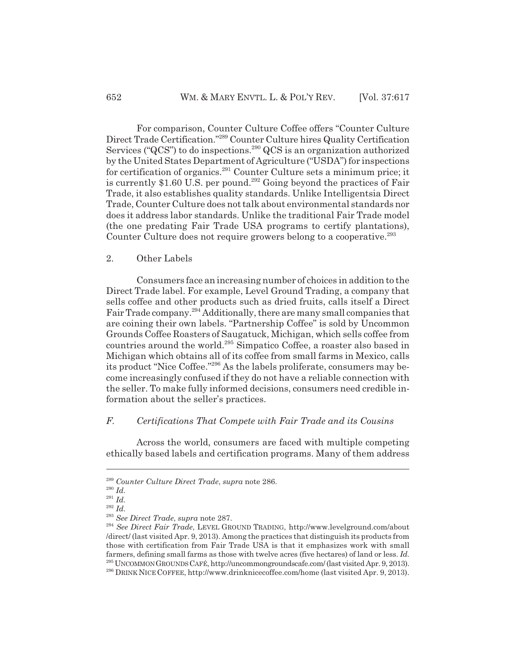For comparison, Counter Culture Coffee offers "Counter Culture Direct Trade Certification."289 Counter Culture hires Quality Certification Services ("QCS") to do inspections.<sup>290</sup> QCS is an organization authorized by the United States Department of Agriculture ("USDA") for inspections for certification of organics.<sup>291</sup> Counter Culture sets a minimum price; it is currently \$1.60 U.S. per pound.<sup>292</sup> Going beyond the practices of Fair Trade, it also establishes quality standards. Unlike Intelligentsia Direct Trade, Counter Culture does not talk about environmental standards nor does it address labor standards. Unlike the traditional Fair Trade model (the one predating Fair Trade USA programs to certify plantations), Counter Culture does not require growers belong to a cooperative.<sup>293</sup>

#### 2. Other Labels

Consumers face an increasing number of choices in addition to the Direct Trade label. For example, Level Ground Trading, a company that sells coffee and other products such as dried fruits, calls itself a Direct Fair Trade company.294 Additionally, there are many small companies that are coining their own labels. "Partnership Coffee" is sold by Uncommon Grounds Coffee Roasters of Saugatuck, Michigan, which sells coffee from countries around the world.295 Simpatico Coffee, a roaster also based in Michigan which obtains all of its coffee from small farms in Mexico, calls its product "Nice Coffee."296 As the labels proliferate, consumers may become increasingly confused if they do not have a reliable connection with the seller. To make fully informed decisions, consumers need credible information about the seller's practices.

#### *F. Certifications That Compete with Fair Trade and its Cousins*

Across the world, consumers are faced with multiple competing ethically based labels and certification programs. Many of them address

<sup>289</sup> *Counter Culture Direct Trade*, *supra* note 286.

<sup>290</sup> *Id.*

<sup>291</sup> *Id.*

<sup>292</sup> *Id.*

<sup>293</sup> *See Direct Trade*, *supra* note 287.

<sup>294</sup> *See Direct Fair Trade*, LEVEL GROUND TRADING, http://www.levelground.com/about /direct/ (last visited Apr. 9, 2013). Among the practices that distinguish its products from those with certification from Fair Trade USA is that it emphasizes work with small farmers, defining small farms as those with twelve acres (five hectares) of land or less. *Id.* 295 UNCOMMON GROUNDS CAFÉ, http://uncommongroundscafe.com/ (last visited Apr. 9, 2013). 296 DRINK NICE COFFEE, http://www.drinknicecoffee.com/home (last visited Apr. 9, 2013).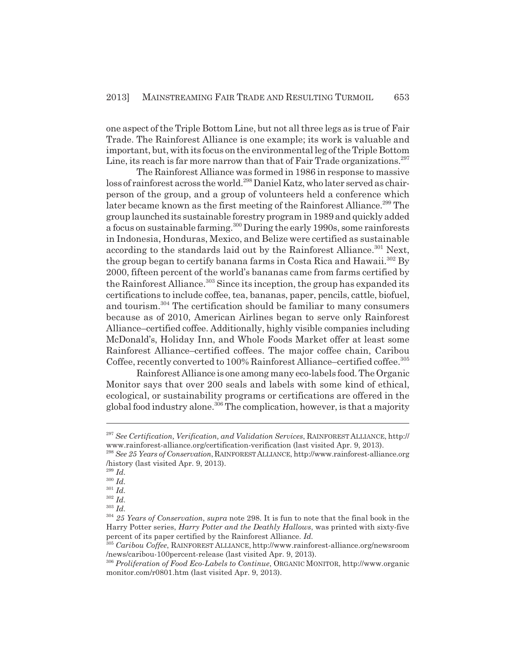one aspect of the Triple Bottom Line, but not all three legs as is true of Fair Trade. The Rainforest Alliance is one example; its work is valuable and important, but, with its focus on the environmental leg of the Triple Bottom Line, its reach is far more narrow than that of Fair Trade organizations.<sup>297</sup>

The Rainforest Alliance was formed in 1986 in response to massive loss of rainforest across the world.<sup>298</sup> Daniel Katz, who later served as chairperson of the group, and a group of volunteers held a conference which later became known as the first meeting of the Rainforest Alliance.<sup>299</sup> The group launched its sustainable forestry program in 1989 and quickly added a focus on sustainable farming.<sup>300</sup> During the early 1990s, some rainforests in Indonesia, Honduras, Mexico, and Belize were certified as sustainable according to the standards laid out by the Rainforest Alliance.<sup>301</sup> Next, the group began to certify banana farms in Costa Rica and Hawaii.<sup>302</sup> By 2000, fifteen percent of the world's bananas came from farms certified by the Rainforest Alliance.<sup>303</sup> Since its inception, the group has expanded its certifications to include coffee, tea, bananas, paper, pencils, cattle, biofuel, and tourism.<sup>304</sup> The certification should be familiar to many consumers because as of 2010, American Airlines began to serve only Rainforest Alliance–certified coffee. Additionally, highly visible companies including McDonald's, Holiday Inn, and Whole Foods Market offer at least some Rainforest Alliance–certified coffees. The major coffee chain, Caribou Coffee, recently converted to 100% Rainforest Alliance-certified coffee.<sup>305</sup>

Rainforest Alliance is one among many eco-labels food. The Organic Monitor says that over 200 seals and labels with some kind of ethical, ecological, or sustainability programs or certifications are offered in the global food industry alone.<sup>306</sup> The complication, however, is that a majority

<sup>299</sup> *Id.*

<sup>301</sup> *Id.*

<sup>297</sup> *See Certification, Verification, and Validation Services*, RAINFOREST ALLIANCE, http:// www.rainforest-alliance.org/certification-verification (last visited Apr. 9, 2013).

<sup>298</sup> *See 25 Years of Conservation*,RAINFOREST ALLIANCE, http://www.rainforest-alliance.org /history (last visited Apr. 9, 2013).

<sup>300</sup> *Id.*

<sup>302</sup> *Id.*

<sup>303</sup> *Id.*

<sup>304</sup> *25 Years of Conservation*, *supra* note 298. It is fun to note that the final book in the Harry Potter series, *Harry Potter and the Deathly Hallows*, was printed with sixty-five percent of its paper certified by the Rainforest Alliance. *Id.*

<sup>305</sup> *Caribou Coffee*, RAINFOREST ALLIANCE, http://www.rainforest-alliance.org/newsroom /news/caribou-100percent-release (last visited Apr. 9, 2013).

<sup>306</sup> *Proliferation of Food Eco-Labels to Continue*, ORGANIC MONITOR, http://www.organic monitor.com/r0801.htm (last visited Apr. 9, 2013).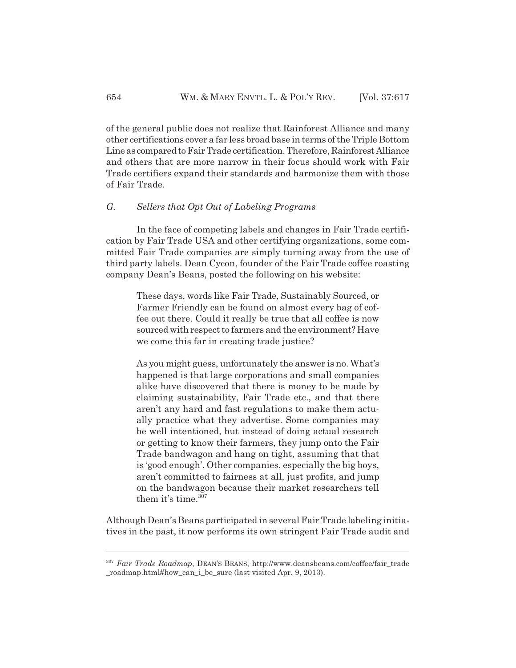of the general public does not realize that Rainforest Alliance and many other certifications cover a far less broad base in terms of the Triple Bottom Line as compared to Fair Trade certification. Therefore, Rainforest Alliance and others that are more narrow in their focus should work with Fair Trade certifiers expand their standards and harmonize them with those of Fair Trade.

#### *G. Sellers that Opt Out of Labeling Programs*

In the face of competing labels and changes in Fair Trade certification by Fair Trade USA and other certifying organizations, some committed Fair Trade companies are simply turning away from the use of third party labels. Dean Cycon, founder of the Fair Trade coffee roasting company Dean's Beans, posted the following on his website:

These days, words like Fair Trade, Sustainably Sourced, or Farmer Friendly can be found on almost every bag of coffee out there. Could it really be true that all coffee is now sourced with respect to farmers and the environment? Have we come this far in creating trade justice?

As you might guess, unfortunately the answer is no. What's happened is that large corporations and small companies alike have discovered that there is money to be made by claiming sustainability, Fair Trade etc., and that there aren't any hard and fast regulations to make them actually practice what they advertise. Some companies may be well intentioned, but instead of doing actual research or getting to know their farmers, they jump onto the Fair Trade bandwagon and hang on tight, assuming that that is 'good enough'. Other companies, especially the big boys, aren't committed to fairness at all, just profits, and jump on the bandwagon because their market researchers tell them it's time. $307$ 

Although Dean's Beans participated in several Fair Trade labeling initiatives in the past, it now performs its own stringent Fair Trade audit and

<sup>&</sup>lt;sup>307</sup> Fair Trade Roadmap, DEAN's BEANS, http://www.deansbeans.com/coffee/fair\_trade roadmap.html#how can i be sure (last visited Apr. 9, 2013).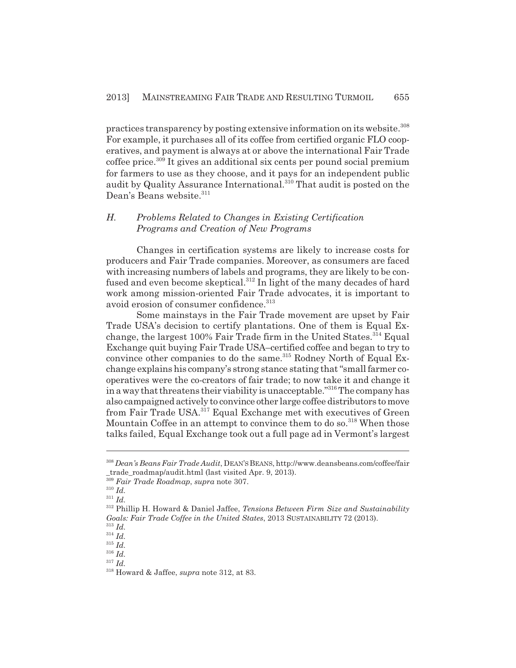practices transparency by posting extensive information on its website.<sup>308</sup> For example, it purchases all of its coffee from certified organic FLO cooperatives, and payment is always at or above the international Fair Trade coffee price.309 It gives an additional six cents per pound social premium for farmers to use as they choose, and it pays for an independent public audit by Quality Assurance International.<sup>310</sup> That audit is posted on the Dean's Beans website.<sup>311</sup>

# *H. Problems Related to Changes in Existing Certification Programs and Creation of New Programs*

Changes in certification systems are likely to increase costs for producers and Fair Trade companies. Moreover, as consumers are faced with increasing numbers of labels and programs, they are likely to be confused and even become skeptical.<sup>312</sup> In light of the many decades of hard work among mission-oriented Fair Trade advocates, it is important to avoid erosion of consumer confidence.<sup>313</sup>

Some mainstays in the Fair Trade movement are upset by Fair Trade USA's decision to certify plantations. One of them is Equal Exchange, the largest 100% Fair Trade firm in the United States.<sup>314</sup> Equal Exchange quit buying Fair Trade USA–certified coffee and began to try to convince other companies to do the same.<sup>315</sup> Rodney North of Equal Exchange explains his company's strong stance stating that "small farmer cooperatives were the co-creators of fair trade; to now take it and change it in a way that threatens their viability is unacceptable."316 The company has also campaigned actively to convince other large coffee distributors to move from Fair Trade USA.317 Equal Exchange met with executives of Green Mountain Coffee in an attempt to convince them to do so.<sup>318</sup> When those talks failed, Equal Exchange took out a full page ad in Vermont's largest

<sup>308</sup> *Dean's Beans Fair Trade Audit*, DEAN'S BEANS, http://www.deansbeans.com/coffee/fair \_trade\_roadmap/audit.html (last visited Apr. 9, 2013).

<sup>309</sup> *Fair Trade Roadmap*, *supra* note 307.

<sup>310</sup> *Id.*

<sup>311</sup> *Id.*

<sup>312</sup> Phillip H. Howard & Daniel Jaffee, *Tensions Between Firm Size and Sustainability Goals: Fair Trade Coffee in the United States*, 2013 SUSTAINABILITY 72 (2013).

<sup>313</sup> *Id.* <sup>314</sup> *Id.*

<sup>315</sup> *Id.*

<sup>316</sup> *Id.*

<sup>317</sup> *Id.*

<sup>318</sup> Howard & Jaffee, *supra* note 312, at 83.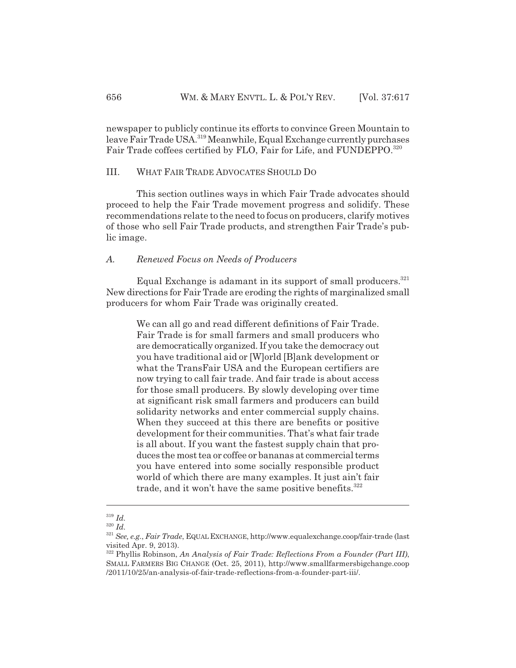newspaper to publicly continue its efforts to convince Green Mountain to leave Fair Trade USA.<sup>319</sup> Meanwhile, Equal Exchange currently purchases Fair Trade coffees certified by FLO, Fair for Life, and FUNDEPPO.<sup>320</sup>

# III. WHAT FAIR TRADE ADVOCATES SHOULD DO

This section outlines ways in which Fair Trade advocates should proceed to help the Fair Trade movement progress and solidify. These recommendations relate to the need to focus on producers, clarify motives of those who sell Fair Trade products, and strengthen Fair Trade's public image.

# *A. Renewed Focus on Needs of Producers*

Equal Exchange is adamant in its support of small producers.<sup>321</sup> New directions for Fair Trade are eroding the rights of marginalized small producers for whom Fair Trade was originally created.

We can all go and read different definitions of Fair Trade. Fair Trade is for small farmers and small producers who are democratically organized. If you take the democracy out you have traditional aid or [W]orld [B]ank development or what the TransFair USA and the European certifiers are now trying to call fair trade. And fair trade is about access for those small producers. By slowly developing over time at significant risk small farmers and producers can build solidarity networks and enter commercial supply chains. When they succeed at this there are benefits or positive development for their communities. That's what fair trade is all about. If you want the fastest supply chain that produces the most tea or coffee or bananas at commercial terms you have entered into some socially responsible product world of which there are many examples. It just ain't fair trade, and it won't have the same positive benefits.<sup>322</sup>

<sup>319</sup> *Id.*

<sup>320</sup> *Id.*

<sup>321</sup> *See, e.g.*, *Fair Trade*, EQUAL EXCHANGE, http://www.equalexchange.coop/fair-trade (last visited Apr. 9, 2013).

<sup>322</sup> Phyllis Robinson, *An Analysis of Fair Trade: Reflections From a Founder (Part III)*, SMALL FARMERS BIG CHANGE (Oct. 25, 2011), http://www.smallfarmersbigchange.coop /2011/10/25/an-analysis-of-fair-trade-reflections-from-a-founder-part-iii/.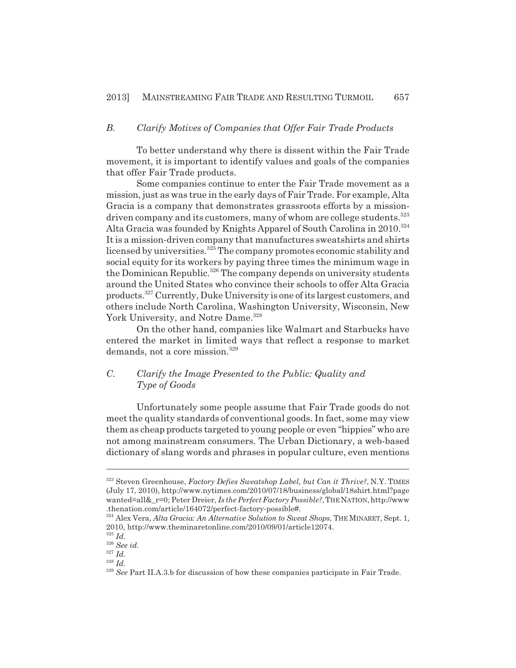# *B. Clarify Motives of Companies that Offer Fair Trade Products*

To better understand why there is dissent within the Fair Trade movement, it is important to identify values and goals of the companies that offer Fair Trade products.

Some companies continue to enter the Fair Trade movement as a mission, just as was true in the early days of Fair Trade. For example, Alta Gracia is a company that demonstrates grassroots efforts by a missiondriven company and its customers, many of whom are college students.<sup>323</sup> Alta Gracia was founded by Knights Apparel of South Carolina in 2010.<sup>324</sup> It is a mission-driven company that manufactures sweatshirts and shirts licensed by universities.<sup>325</sup> The company promotes economic stability and social equity for its workers by paying three times the minimum wage in the Dominican Republic.<sup>326</sup> The company depends on university students around the United States who convince their schools to offer Alta Gracia products.327 Currently, Duke University is one of its largest customers, and others include North Carolina, Washington University, Wisconsin, New York University, and Notre Dame.<sup>328</sup>

On the other hand, companies like Walmart and Starbucks have entered the market in limited ways that reflect a response to market demands, not a core mission.<sup>329</sup>

# *C. Clarify the Image Presented to the Public: Quality and Type of Goods*

Unfortunately some people assume that Fair Trade goods do not meet the quality standards of conventional goods. In fact, some may view them as cheap products targeted to young people or even "hippies" who are not among mainstream consumers. The Urban Dictionary, a web-based dictionary of slang words and phrases in popular culture, even mentions

<sup>323</sup> Steven Greenhouse, *Factory Defies Sweatshop Label, but Can it Thrive?*, N.Y. TIMES (July 17, 2010), http://www.nytimes.com/2010/07/18/business/global/18shirt.html?page wanted=all&\_r=0; Peter Dreier, *Is the Perfect Factory Possible?*, THE NATION, http://www .thenation.com/article/164072/perfect-factory-possible#.

<sup>324</sup> Alex Vera, *Alta Gracia: An Alternative Solution to Sweat Shops*, THE MINARET, Sept. 1, 2010, http://www.theminaretonline.com/2010/09/01/article12074.

<sup>325</sup> *Id.*

<sup>326</sup> *See id.*

<sup>327</sup> *Id.*

<sup>328</sup> *Id.*

<sup>&</sup>lt;sup>329</sup> *See* Part II.A.3.b for discussion of how these companies participate in Fair Trade.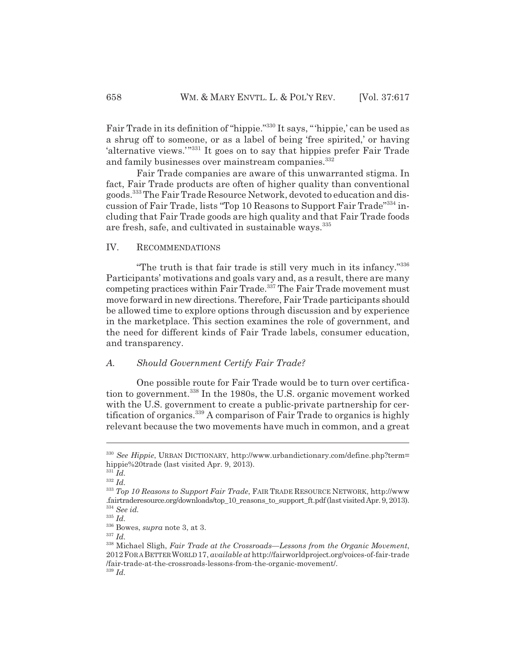Fair Trade in its definition of "hippie."330 It says, "'hippie,' can be used as a shrug off to someone, or as a label of being 'free spirited,' or having 'alternative views.'"<sup>331</sup> It goes on to say that hippies prefer Fair Trade and family businesses over mainstream companies.<sup>332</sup>

Fair Trade companies are aware of this unwarranted stigma. In fact, Fair Trade products are often of higher quality than conventional goods.333 The Fair Trade Resource Network, devoted to education and discussion of Fair Trade, lists "Top 10 Reasons to Support Fair Trade"334 including that Fair Trade goods are high quality and that Fair Trade foods are fresh, safe, and cultivated in sustainable ways.335

#### IV. RECOMMENDATIONS

"The truth is that fair trade is still very much in its infancy."336 Participants' motivations and goals vary and, as a result, there are many competing practices within Fair Trade. $337$  The Fair Trade movement must move forward in new directions. Therefore, Fair Trade participants should be allowed time to explore options through discussion and by experience in the marketplace. This section examines the role of government, and the need for different kinds of Fair Trade labels, consumer education, and transparency.

# *A. Should Government Certify Fair Trade?*

One possible route for Fair Trade would be to turn over certification to government.<sup>338</sup> In the 1980s, the U.S. organic movement worked with the U.S. government to create a public-private partnership for certification of organics.339 A comparison of Fair Trade to organics is highly relevant because the two movements have much in common, and a great

<sup>330</sup> *See Hippie*, URBAN DICTIONARY, http://www.urbandictionary.com/define.php?term= hippie%20trade (last visited Apr. 9, 2013).

<sup>331</sup> *Id.* <sup>332</sup> *Id.*

<sup>333</sup> *Top 10 Reasons to Support Fair Trade*, FAIR TRADE RESOURCE NETWORK, http://www .fairtraderesource.org/downloads/top\_10\_reasons\_to\_support\_ft.pdf (last visited Apr. 9, 2013). <sup>334</sup> *See id.*

<sup>335</sup> *Id.*

<sup>336</sup> Bowes, *supra* note 3, at 3.

<sup>337</sup> *Id.*

<sup>338</sup> Michael Sligh, *Fair Trade at the Crossroads—Lessons from the Organic Movement*, 2012FOR A BETTER WORLD 17, *available at* http://fairworldproject.org/voices-of-fair-trade /fair-trade-at-the-crossroads-lessons-from-the-organic-movement/. <sup>339</sup> *Id.*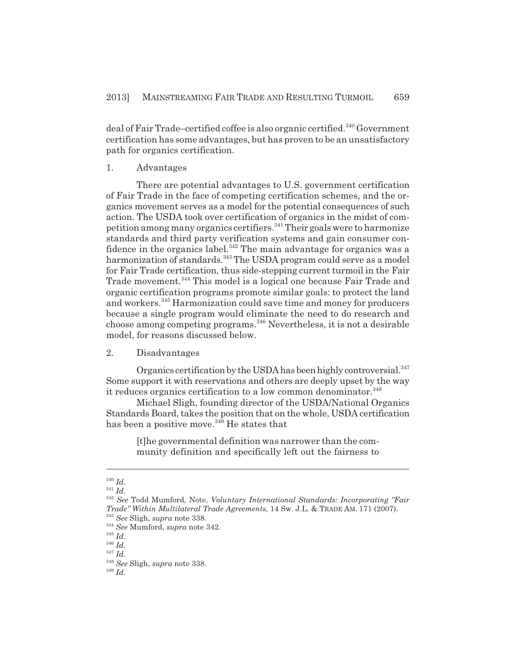deal of Fair Trade–certified coffee is also organic certified.<sup>340</sup> Government certification has some advantages, but has proven to be an unsatisfactory path for organics certification.

#### 1. Advantages

There are potential advantages to U.S. government certification of Fair Trade in the face of competing certification schemes, and the organics movement serves as a model for the potential consequences of such action. The USDA took over certification of organics in the midst of competition among many organics certifiers.<sup>341</sup> Their goals were to harmonize standards and third party verification systems and gain consumer confidence in the organics label. $342$  The main advantage for organics was a harmonization of standards.<sup>343</sup> The USDA program could serve as a model for Fair Trade certification, thus side-stepping current turmoil in the Fair Trade movement.<sup>344</sup> This model is a logical one because Fair Trade and organic certification programs promote similar goals: to protect the land and workers.345 Harmonization could save time and money for producers because a single program would eliminate the need to do research and choose among competing programs.346 Nevertheless, it is not a desirable model, for reasons discussed below.

# 2. Disadvantages

Organics certification by the USDA has been highly controversial.<sup>347</sup> Some support it with reservations and others are deeply upset by the way it reduces organics certification to a low common denominator.<sup>348</sup>

Michael Sligh, founding director of the USDA/National Organics Standards Board, takes the position that on the whole, USDA certification has been a positive move.<sup>349</sup> He states that

> [t]he governmental definition was narrower than the community definition and specifically left out the fairness to

<sup>340</sup> *Id.*

<sup>341</sup> *Id.*

<sup>342</sup> *See* Todd Mumford, Note, *Voluntary International Standards: Incorporating "Fair Trade" Within Multilateral Trade Agreements*, 14 Sw. J.L. & TRADE AM. 171 (2007). <sup>343</sup> *See* Sligh, *supra* note 338.

<sup>344</sup> *See* Mumford, *supra* note 342.

<sup>345</sup> *Id.*

<sup>346</sup> *Id.*

<sup>347</sup> *Id.*

<sup>348</sup> *See* Sligh, *supra* note 338.

<sup>349</sup> *Id.*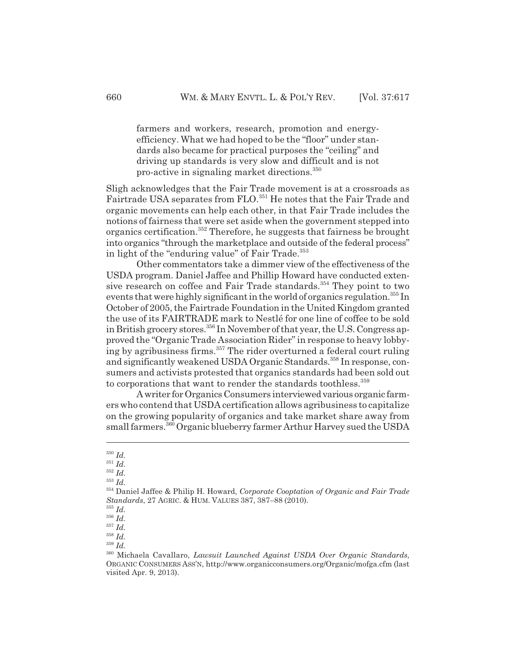farmers and workers, research, promotion and energyefficiency. What we had hoped to be the "floor" under standards also became for practical purposes the "ceiling" and driving up standards is very slow and difficult and is not pro-active in signaling market directions.350

Sligh acknowledges that the Fair Trade movement is at a crossroads as Fairtrade USA separates from FLO.<sup>351</sup> He notes that the Fair Trade and organic movements can help each other, in that Fair Trade includes the notions of fairness that were set aside when the government stepped into organics certification.352 Therefore, he suggests that fairness be brought into organics "through the marketplace and outside of the federal process" in light of the "enduring value" of Fair Trade.<sup>353</sup>

Other commentators take a dimmer view of the effectiveness of the USDA program. Daniel Jaffee and Phillip Howard have conducted extensive research on coffee and Fair Trade standards.<sup>354</sup> They point to two events that were highly significant in the world of organics regulation.<sup>355</sup> In October of 2005, the Fairtrade Foundation in the United Kingdom granted the use of its FAIRTRADE mark to Nestlé for one line of coffee to be sold in British grocery stores.<sup>356</sup> In November of that year, the U.S. Congress approved the "Organic Trade Association Rider" in response to heavy lobbying by agribusiness firms.357 The rider overturned a federal court ruling and significantly weakened USDA Organic Standards.<sup>358</sup> In response, consumers and activists protested that organics standards had been sold out to corporations that want to render the standards toothless.<sup>359</sup>

A writer for Organics Consumers interviewed various organic farmers who contend that USDA certification allows agribusiness to capitalize on the growing popularity of organics and take market share away from small farmers.<sup>360</sup> Organic blueberry farmer Arthur Harvey sued the USDA

<sup>359</sup> *Id.*

<sup>350</sup> *Id.*

<sup>351</sup> *Id.*

<sup>352</sup> *Id.*

<sup>353</sup> *Id.*

<sup>354</sup> Daniel Jaffee & Philip H. Howard, *Corporate Cooptation of Organic and Fair Trade Standards*, 27 AGRIC. & HUM. VALUES 387, 387–88 (2010).

<sup>355</sup> *Id.*

<sup>356</sup> *Id.*

<sup>357</sup> *Id.* <sup>358</sup> *Id.*

<sup>360</sup> Michaela Cavallaro, *Lawsuit Launched Against USDA Over Organic Standards*, ORGANIC CONSUMERS ASS'N, http://www.organicconsumers.org/Organic/mofga.cfm (last visited Apr. 9, 2013).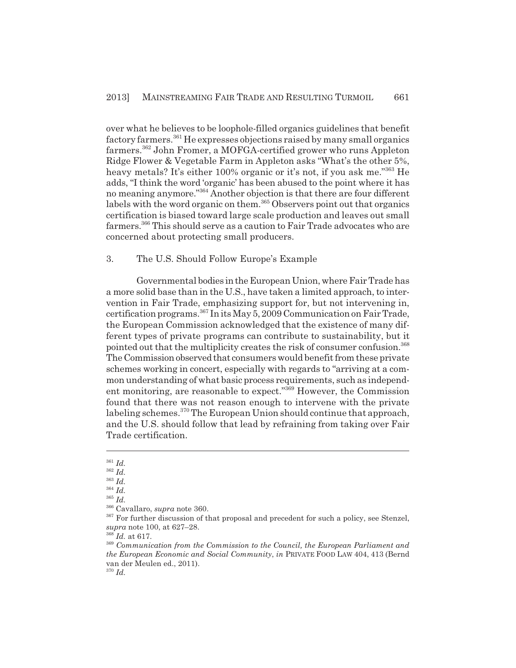over what he believes to be loophole-filled organics guidelines that benefit factory farmers.361 He expresses objections raised by many small organics farmers.362 John Fromer, a MOFGA-certified grower who runs Appleton Ridge Flower & Vegetable Farm in Appleton asks "What's the other 5%, heavy metals? It's either 100% organic or it's not, if you ask me."<sup>363</sup> He adds, "I think the word 'organic' has been abused to the point where it has no meaning anymore."364 Another objection is that there are four different labels with the word organic on them.<sup>365</sup> Observers point out that organics certification is biased toward large scale production and leaves out small farmers.<sup>366</sup> This should serve as a caution to Fair Trade advocates who are concerned about protecting small producers.

#### 3. The U.S. Should Follow Europe's Example

Governmental bodies in the European Union, where Fair Trade has a more solid base than in the U.S., have taken a limited approach, to intervention in Fair Trade, emphasizing support for, but not intervening in, certification programs.367 In its May 5, 2009 Communication on Fair Trade, the European Commission acknowledged that the existence of many different types of private programs can contribute to sustainability, but it pointed out that the multiplicity creates the risk of consumer confusion.<sup>368</sup> The Commission observed that consumers would benefit from these private schemes working in concert, especially with regards to "arriving at a common understanding of what basic process requirements, such as independent monitoring, are reasonable to expect."369 However, the Commission found that there was not reason enough to intervene with the private labeling schemes.<sup>370</sup> The European Union should continue that approach, and the U.S. should follow that lead by refraining from taking over Fair Trade certification.

<sup>361</sup> *Id.*

<sup>362</sup> *Id.*

<sup>363</sup> *Id.*

<sup>364</sup> *Id.* <sup>365</sup> *Id.*

<sup>366</sup> Cavallaro, *supra* note 360.

<sup>&</sup>lt;sup>367</sup> For further discussion of that proposal and precedent for such a policy, see Stenzel, *supra* note 100, at 627–28.

<sup>368</sup> *Id.* at 617.

<sup>369</sup> *Communication from the Commission to the Council, the European Parliament and the European Economic and Social Community*, *in* PRIVATE FOOD LAW 404, 413 (Bernd van der Meulen ed., 2011).

<sup>370</sup> *Id.*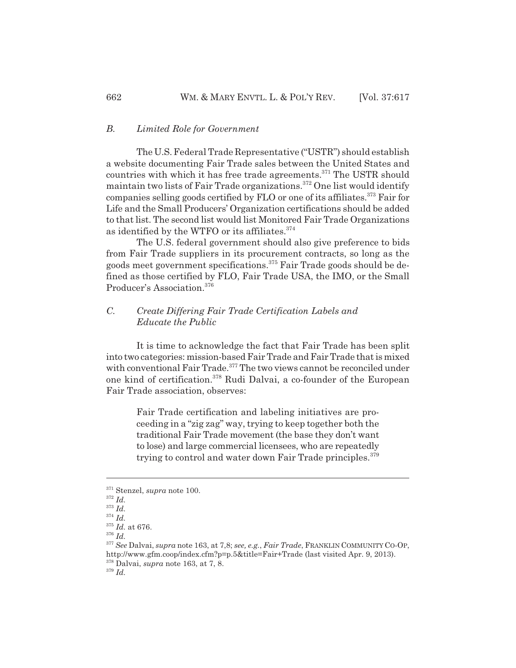#### *B. Limited Role for Government*

The U.S. Federal Trade Representative ("USTR") should establish a website documenting Fair Trade sales between the United States and countries with which it has free trade agreements.<sup>371</sup> The USTR should maintain two lists of Fair Trade organizations.<sup>372</sup> One list would identify companies selling goods certified by FLO or one of its affiliates.<sup>373</sup> Fair for Life and the Small Producers' Organization certifications should be added to that list. The second list would list Monitored Fair Trade Organizations as identified by the WTFO or its affiliates.<sup>374</sup>

The U.S. federal government should also give preference to bids from Fair Trade suppliers in its procurement contracts, so long as the goods meet government specifications.375 Fair Trade goods should be defined as those certified by FLO, Fair Trade USA, the IMO, or the Small Producer's Association.376

# *C. Create Differing Fair Trade Certification Labels and Educate the Public*

It is time to acknowledge the fact that Fair Trade has been split into two categories: mission-based Fair Trade and Fair Trade that is mixed with conventional Fair Trade.<sup>377</sup> The two views cannot be reconciled under one kind of certification.378 Rudi Dalvai, a co-founder of the European Fair Trade association, observes:

Fair Trade certification and labeling initiatives are proceeding in a "zig zag" way, trying to keep together both the traditional Fair Trade movement (the base they don't want to lose) and large commercial licensees, who are repeatedly trying to control and water down Fair Trade principles.<sup>379</sup>

<sup>371</sup> Stenzel, *supra* note 100.

<sup>372</sup> *Id.*

<sup>373</sup> *Id.*

<sup>374</sup> *Id.* <sup>375</sup> *Id.* at 676.

<sup>376</sup> *Id.*

<sup>377</sup> *See* Dalvai, *supra* note 163, at 7,8; *see, e.g.*, *Fair Trade*, FRANKLIN COMMUNITY CO-OP,

http://www.gfm.coop/index.cfm?p=p.5&title=Fair+Trade (last visited Apr. 9, 2013).

<sup>378</sup> Dalvai, *supra* note 163, at 7, 8.

<sup>379</sup> *Id.*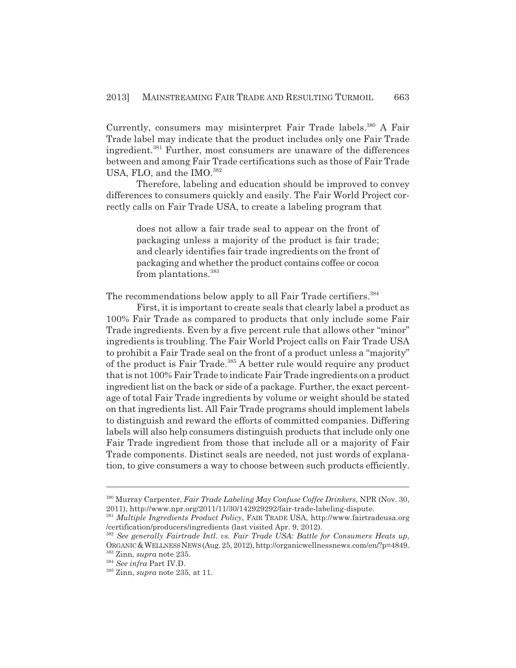Currently, consumers may misinterpret Fair Trade labels.<sup>380</sup> A Fair Trade label may indicate that the product includes only one Fair Trade ingredient.<sup>381</sup> Further, most consumers are unaware of the differences between and among Fair Trade certifications such as those of Fair Trade USA, FLO, and the IMO.<sup>382</sup>

Therefore, labeling and education should be improved to convey differences to consumers quickly and easily. The Fair World Project correctly calls on Fair Trade USA, to create a labeling program that

does not allow a fair trade seal to appear on the front of packaging unless a majority of the product is fair trade; and clearly identifies fair trade ingredients on the front of packaging and whether the product contains coffee or cocoa from plantations.383

The recommendations below apply to all Fair Trade certifiers.<sup>384</sup>

First, it is important to create seals that clearly label a product as 100% Fair Trade as compared to products that only include some Fair Trade ingredients. Even by a five percent rule that allows other "minor" ingredients is troubling. The Fair World Project calls on Fair Trade USA to prohibit a Fair Trade seal on the front of a product unless a "majority" of the product is Fair Trade.<sup>385</sup> A better rule would require any product that is not 100% Fair Trade to indicate Fair Trade ingredients on a product ingredient list on the back or side of a package. Further, the exact percentage of total Fair Trade ingredients by volume or weight should be stated on that ingredients list. All Fair Trade programs should implement labels to distinguish and reward the efforts of committed companies. Differing labels will also help consumers distinguish products that include only one Fair Trade ingredient from those that include all or a majority of Fair Trade components. Distinct seals are needed, not just words of explanation, to give consumers a way to choose between such products efficiently.

<sup>380</sup> Murray Carpenter, *Fair Trade Labeling May Confuse Coffee Drinkers*, NPR (Nov. 30, 2011), http://www.npr.org/2011/11/30/142929292/fair-trade-labeling-dispute.

<sup>381</sup> *Multiple Ingredients Product Policy*, FAIR TRADE USA, http://www.fairtradeusa.org /certification/producers/ingredients (last visited Apr. 9, 2012).

<sup>382</sup> *See generally Fairtrade Intl. vs. Fair Trade USA: Battle for Consumers Heats up*, ORGANIC &WELLNESS NEWS (Aug. 25, 2012), http://organicwellnessnews.com/en/?p=4849. 383 Zinn, *supra* note 235.

<sup>384</sup> *See infra* Part IV.D.

<sup>385</sup> Zinn, *supra* note 235, at 11.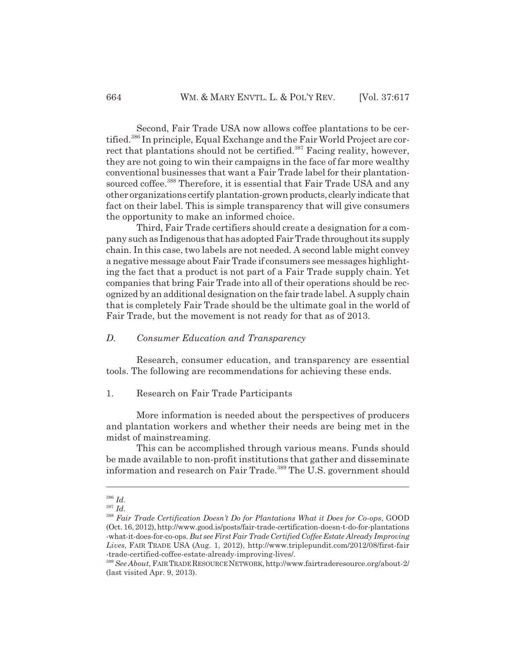Second, Fair Trade USA now allows coffee plantations to be certified.<sup>386</sup> In principle, Equal Exchange and the Fair World Project are correct that plantations should not be certified.<sup>387</sup> Facing reality, however, they are not going to win their campaigns in the face of far more wealthy conventional businesses that want a Fair Trade label for their plantationsourced coffee.<sup>388</sup> Therefore, it is essential that Fair Trade USA and any other organizations certify plantation-grown products, clearly indicate that fact on their label. This is simple transparency that will give consumers the opportunity to make an informed choice.

Third, Fair Trade certifiers should create a designation for a company such as Indigenous that has adopted Fair Trade throughout its supply chain. In this case, two labels are not needed. A second lable might convey a negative message about Fair Trade if consumers see messages highlighting the fact that a product is not part of a Fair Trade supply chain. Yet companies that bring Fair Trade into all of their operations should be recognized by an additional designation on the fair trade label. A supply chain that is completely Fair Trade should be the ultimate goal in the world of Fair Trade, but the movement is not ready for that as of 2013.

# *D. Consumer Education and Transparency*

Research, consumer education, and transparency are essential tools. The following are recommendations for achieving these ends.

#### 1. Research on Fair Trade Participants

More information is needed about the perspectives of producers and plantation workers and whether their needs are being met in the midst of mainstreaming.

This can be accomplished through various means. Funds should be made available to non-profit institutions that gather and disseminate information and research on Fair Trade.<sup>389</sup> The U.S. government should

<sup>386</sup> *Id.*

<sup>387</sup> *Id.*

<sup>388</sup> *Fair Trade Certification Doesn't Do for Plantations What it Does for Co-ops*, GOOD (Oct. 16, 2012), http://www.good.is/posts/fair-trade-certification-doesn-t-do-for-plantations -what-it-does-for-co-ops. *But see First Fair Trade Certified Coffee Estate Already Improving Lives*, FAIR TRADE USA (Aug. 1, 2012), http://www.triplepundit.com/2012/08/first-fair -trade-certified-coffee-estate-already-improving-lives/.

<sup>389</sup> *See About*, FAIR TRADE RESOURCE NETWORK, http://www.fairtraderesource.org/about-2/ (last visited Apr. 9, 2013).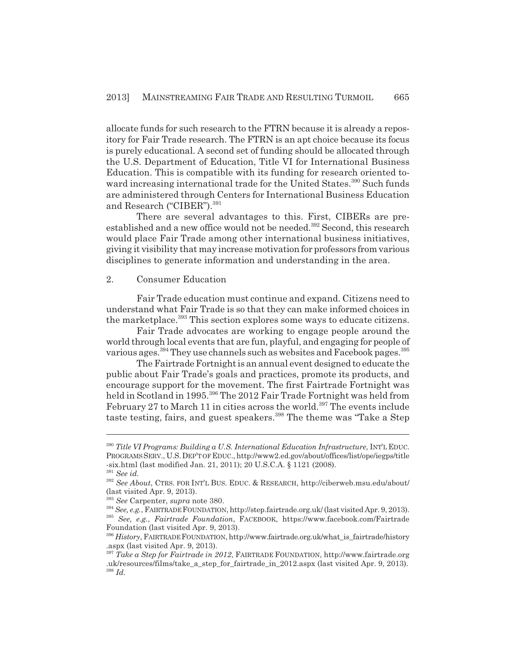allocate funds for such research to the FTRN because it is already a repository for Fair Trade research. The FTRN is an apt choice because its focus is purely educational. A second set of funding should be allocated through the U.S. Department of Education, Title VI for International Business Education. This is compatible with its funding for research oriented toward increasing international trade for the United States.<sup>390</sup> Such funds are administered through Centers for International Business Education and Research ("CIBER").<sup>391</sup>

There are several advantages to this. First, CIBERs are preestablished and a new office would not be needed.<sup>392</sup> Second, this research would place Fair Trade among other international business initiatives, giving it visibility that may increase motivation for professors from various disciplines to generate information and understanding in the area.

# 2. Consumer Education

Fair Trade education must continue and expand. Citizens need to understand what Fair Trade is so that they can make informed choices in the marketplace.<sup>393</sup> This section explores some ways to educate citizens.

Fair Trade advocates are working to engage people around the world through local events that are fun, playful, and engaging for people of various ages.<sup>394</sup> They use channels such as websites and Facebook pages.<sup>395</sup>

The Fairtrade Fortnight is an annual event designed to educate the public about Fair Trade's goals and practices, promote its products, and encourage support for the movement. The first Fairtrade Fortnight was held in Scotland in 1995.<sup>396</sup> The 2012 Fair Trade Fortnight was held from February 27 to March 11 in cities across the world.<sup>397</sup> The events include taste testing, fairs, and guest speakers.<sup>398</sup> The theme was "Take a Step

<sup>390</sup> *Title VI Programs: Building a U.S. International Education Infrastructure*, INT'L EDUC. PROGRAMS SERV., U.S.DEP'T OF EDUC., http://www2.ed.gov/about/offices/list/ope/iegps/title -six.html (last modified Jan. 21, 2011); 20 U.S.C.A. § 1121 (2008).

<sup>391</sup> *See id.*

<sup>392</sup> *See About*, CTRS. FOR INT'L BUS. EDUC. & RESEARCH, http://ciberweb.msu.edu/about/ (last visited Apr. 9, 2013).

<sup>393</sup> *See* Carpenter, *supra* note 380.

<sup>394</sup> *See, e.g.*, FAIRTRADE FOUNDATION, http://step.fairtrade.org.uk/ (last visited Apr. 9, 2013). <sup>395</sup> *See, e.g.*, *Fairtrade Foundation*, FACEBOOK, https://www.facebook.com/Fairtrade Foundation (last visited Apr. 9, 2013).

<sup>396</sup> *History*, FAIRTRADE FOUNDATION, http://www.fairtrade.org.uk/what\_is\_fairtrade/history .aspx (last visited Apr. 9, 2013).

<sup>397</sup> *Take a Step for Fairtrade in 2012*, FAIRTRADE FOUNDATION, http://www.fairtrade.org .uk/resources/films/take\_a\_step\_for\_fairtrade\_in\_2012.aspx (last visited Apr. 9, 2013). <sup>398</sup> *Id.*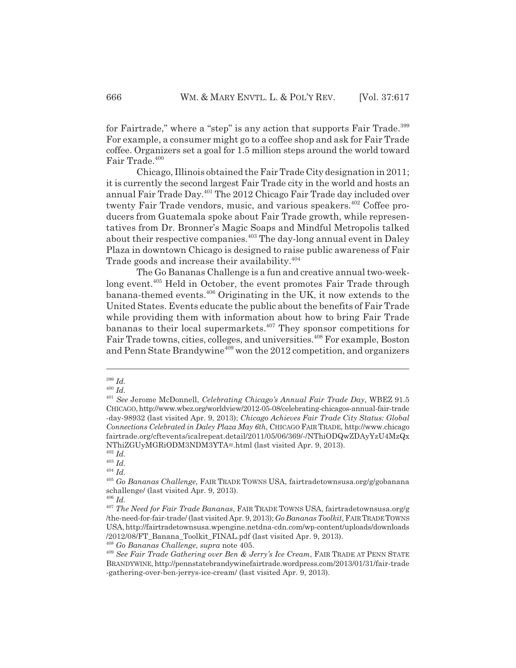for Fairtrade," where a "step" is any action that supports Fair Trade.<sup>399</sup> For example, a consumer might go to a coffee shop and ask for Fair Trade coffee. Organizers set a goal for 1.5 million steps around the world toward Fair Trade.<sup>400</sup>

Chicago, Illinois obtained the Fair Trade City designation in 2011; it is currently the second largest Fair Trade city in the world and hosts an annual Fair Trade Day.<sup>401</sup> The 2012 Chicago Fair Trade day included over twenty Fair Trade vendors, music, and various speakers.<sup>402</sup> Coffee producers from Guatemala spoke about Fair Trade growth, while representatives from Dr. Bronner's Magic Soaps and Mindful Metropolis talked about their respective companies.<sup>403</sup> The day-long annual event in Daley Plaza in downtown Chicago is designed to raise public awareness of Fair Trade goods and increase their availability.<sup>404</sup>

The Go Bananas Challenge is a fun and creative annual two-weeklong event.<sup>405</sup> Held in October, the event promotes Fair Trade through banana-themed events.406 Originating in the UK, it now extends to the United States. Events educate the public about the benefits of Fair Trade while providing them with information about how to bring Fair Trade bananas to their local supermarkets.<sup>407</sup> They sponsor competitions for Fair Trade towns, cities, colleges, and universities.<sup>408</sup> For example, Boston and Penn State Brandywine<sup>409</sup> won the 2012 competition, and organizers

<sup>402</sup> *Id.*

<sup>403</sup> *Id.*

<sup>406</sup> *Id.*

<sup>399</sup> *Id.*

<sup>400</sup> *Id.*

<sup>401</sup> *See* Jerome McDonnell, *Celebrating Chicago's Annual Fair Trade Day*, WBEZ 91.5 CHICAGO, http://www.wbez.org/worldview/2012-05-08/celebrating-chicagos-annual-fair-trade -day-98932 (last visited Apr. 9, 2013); *Chicago Achieves Fair Trade City Status: Global Connections Celebrated in Daley Plaza May 6th*, CHICAGO FAIR TRADE, http://www.chicago fairtrade.org/cftevents/icalrepeat.detail/2011/05/06/369/-/NThiODQwZDAyYzU4MzQx NThiZGUyMGRiODM3NDM3YTA=.html (last visited Apr. 9, 2013).

<sup>404</sup> *Id.*

<sup>405</sup> *Go Bananas Challenge*, FAIR TRADE TOWNS USA, fairtradetownsusa.org/g/gobanana schallenge/ (last visited Apr. 9, 2013).

<sup>407</sup> *The Need for Fair Trade Bananas*, FAIR TRADE TOWNS USA, fairtradetownsusa.org/g /the-need-for-fair-trade/ (last visited Apr. 9, 2013); *Go Bananas Toolkit*, FAIR TRADE TOWNS USA, http://fairtradetownsusa.wpengine.netdna-cdn.com/wp-content/uploads/downloads /2012/08/FT\_Banana\_Toolkit\_FINAL.pdf (last visited Apr. 9, 2013).

<sup>408</sup> *Go Bananas Challenge*, *supra* note 405.

<sup>409</sup> *See Fair Trade Gathering over Ben & Jerry's Ice Cream*, FAIR TRADE AT PENN STATE BRANDYWINE, http://pennstatebrandywinefairtrade.wordpress.com/2013/01/31/fair-trade -gathering-over-ben-jerrys-ice-cream/ (last visited Apr. 9, 2013).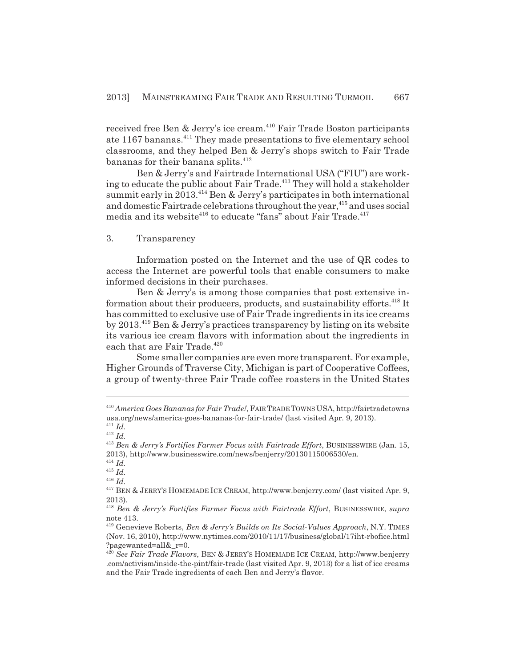received free Ben & Jerry's ice cream.<sup>410</sup> Fair Trade Boston participants ate 1167 bananas.<sup>411</sup> They made presentations to five elementary school classrooms, and they helped Ben & Jerry's shops switch to Fair Trade bananas for their banana splits.<sup>412</sup>

Ben & Jerry's and Fairtrade International USA ("FIU") are working to educate the public about Fair Trade.<sup>413</sup> They will hold a stakeholder summit early in 2013.<sup>414</sup> Ben & Jerry's participates in both international and domestic Fairtrade celebrations throughout the year, <sup>415</sup> and uses social media and its website<sup>416</sup> to educate "fans" about Fair Trade.<sup>417</sup>

#### 3. Transparency

Information posted on the Internet and the use of QR codes to access the Internet are powerful tools that enable consumers to make informed decisions in their purchases.

Ben & Jerry's is among those companies that post extensive information about their producers, products, and sustainability efforts.<sup>418</sup> It has committed to exclusive use of Fair Trade ingredients in its ice creams by 2013.419 Ben & Jerry's practices transparency by listing on its website its various ice cream flavors with information about the ingredients in each that are Fair Trade.<sup>420</sup>

Some smaller companies are even more transparent. For example, Higher Grounds of Traverse City, Michigan is part of Cooperative Coffees, a group of twenty-three Fair Trade coffee roasters in the United States

<sup>410</sup> *America Goes Bananas for Fair Trade!*, FAIR TRADE TOWNS USA, http://fairtradetowns usa.org/news/america-goes-bananas-for-fair-trade/ (last visited Apr. 9, 2013). <sup>411</sup> *Id.*

<sup>412</sup> *Id.*

<sup>413</sup> *Ben & Jerry's Fortifies Farmer Focus with Fairtrade Effort*, BUSINESSWIRE (Jan. 15, 2013), http://www.businesswire.com/news/benjerry/20130115006530/en.

<sup>414</sup> *Id.*

<sup>415</sup> *Id.*

<sup>416</sup> *Id.*

<sup>417</sup> BEN & JERRY'S HOMEMADE ICE CREAM, http://www.benjerry.com/ (last visited Apr. 9, 2013).

<sup>418</sup> *Ben & Jerry's Fortifies Farmer Focus with Fairtrade Effort*, BUSINESSWIRE, *supra* note 413.

<sup>419</sup> Genevieve Roberts, *Ben & Jerry's Builds on Its Social-Values Approach*, N.Y. TIMES (Nov. 16, 2010), http://www.nytimes.com/2010/11/17/business/global/17iht-rbofice.html ?pagewanted=all&\_r=0.

<sup>420</sup> *See Fair Trade Flavors*, BEN & JERRY'S HOMEMADE ICE CREAM, http://www.benjerry .com/activism/inside-the-pint/fair-trade (last visited Apr. 9, 2013) for a list of ice creams and the Fair Trade ingredients of each Ben and Jerry's flavor.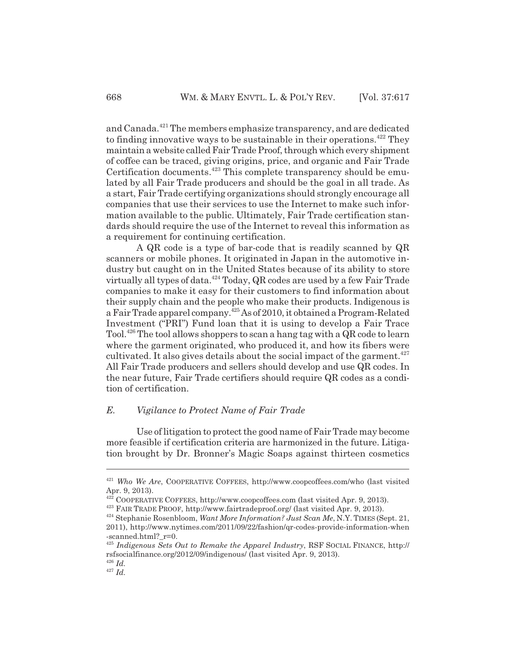and Canada.<sup>421</sup> The members emphasize transparency, and are dedicated to finding innovative ways to be sustainable in their operations.<sup> $422$ </sup> They maintain a website called Fair Trade Proof, through which every shipment of coffee can be traced, giving origins, price, and organic and Fair Trade Certification documents.<sup>423</sup> This complete transparency should be emulated by all Fair Trade producers and should be the goal in all trade. As a start, Fair Trade certifying organizations should strongly encourage all companies that use their services to use the Internet to make such infor-

mation available to the public. Ultimately, Fair Trade certification standards should require the use of the Internet to reveal this information as a requirement for continuing certification.

A QR code is a type of bar-code that is readily scanned by QR scanners or mobile phones. It originated in Japan in the automotive industry but caught on in the United States because of its ability to store virtually all types of data.<sup>424</sup> Today, QR codes are used by a few Fair Trade companies to make it easy for their customers to find information about their supply chain and the people who make their products. Indigenous is a Fair Trade apparel company.425 As of 2010, it obtained a Program-Related Investment ("PRI") Fund loan that it is using to develop a Fair Trace Tool.426 The tool allows shoppers to scan a hang tag with a QR code to learn where the garment originated, who produced it, and how its fibers were cultivated. It also gives details about the social impact of the garment.<sup>427</sup> All Fair Trade producers and sellers should develop and use QR codes. In the near future, Fair Trade certifiers should require QR codes as a condition of certification.

# *E. Vigilance to Protect Name of Fair Trade*

Use of litigation to protect the good name of Fair Trade may become more feasible if certification criteria are harmonized in the future. Litigation brought by Dr. Bronner's Magic Soaps against thirteen cosmetics

<sup>421</sup> *Who We Are*, COOPERATIVE COFFEES, http://www.coopcoffees.com/who (last visited Apr. 9, 2013).

 $422$  COOPERATIVE COFFEES, http://www.coopcoffees.com (last visited Apr. 9, 2013).

<sup>423</sup> FAIR TRADE PROOF, http://www.fairtradeproof.org/ (last visited Apr. 9, 2013).

<sup>424</sup> Stephanie Rosenbloom, *Want More Information? Just Scan Me*, N.Y. TIMES (Sept. 21,

<sup>2011),</sup> http://www.nytimes.com/2011/09/22/fashion/qr-codes-provide-information-when -scanned.html?\_r=0.

<sup>425</sup> *Indigenous Sets Out to Remake the Apparel Industry*, RSF SOCIAL FINANCE, http:// rsfsocialfinance.org/2012/09/indigenous/ (last visited Apr. 9, 2013).

<sup>426</sup> *Id.*

 $427 \frac{100}{10}$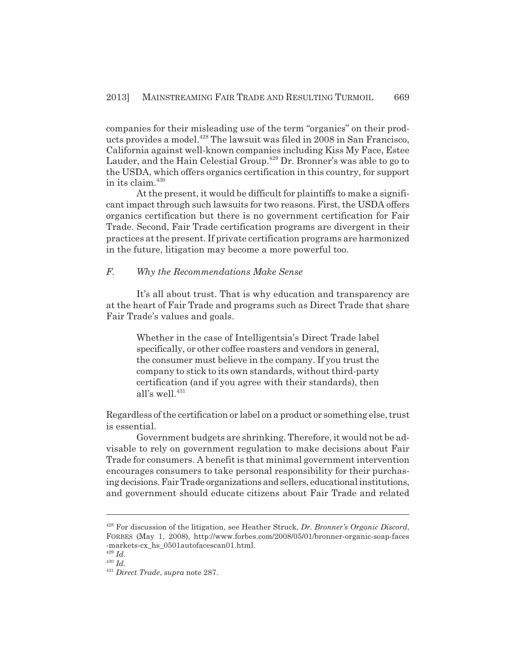companies for their misleading use of the term "organics" on their products provides a model.<sup>428</sup> The lawsuit was filed in 2008 in San Francisco, California against well-known companies including Kiss My Face, Estee Lauder, and the Hain Celestial Group.<sup>429</sup> Dr. Bronner's was able to go to the USDA, which offers organics certification in this country, for support in its claim.430

At the present, it would be difficult for plaintiffs to make a significant impact through such lawsuits for two reasons. First, the USDA offers organics certification but there is no government certification for Fair Trade. Second, Fair Trade certification programs are divergent in their practices at the present. If private certification programs are harmonized in the future, litigation may become a more powerful too.

#### *F. Why the Recommendations Make Sense*

It's all about trust. That is why education and transparency are at the heart of Fair Trade and programs such as Direct Trade that share Fair Trade's values and goals.

Whether in the case of Intelligentsia's Direct Trade label specifically, or other coffee roasters and vendors in general, the consumer must believe in the company. If you trust the company to stick to its own standards, without third-party certification (and if you agree with their standards), then all's well. $431$ 

Regardless of the certification or label on a product or something else, trust is essential.

Government budgets are shrinking. Therefore, it would not be advisable to rely on government regulation to make decisions about Fair Trade for consumers. A benefit is that minimal government intervention encourages consumers to take personal responsibility for their purchasing decisions. Fair Trade organizations and sellers, educational institutions, and government should educate citizens about Fair Trade and related

<sup>428</sup> For discussion of the litigation, see Heather Struck, *Dr. Bronner's Organic Discord*, FORBES (May 1, 2008), http://www.forbes.com/2008/05/01/bronner-organic-soap-faces -markets-cx\_hs\_0501autofacescan01.html.

<sup>429</sup> *Id.*

<sup>430</sup> *Id.*

<sup>431</sup> *Direct Trade*, *supra* note 287.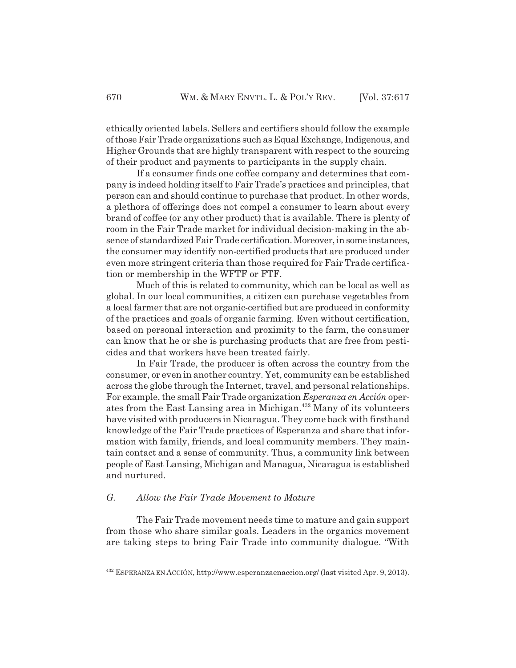ethically oriented labels. Sellers and certifiers should follow the example of those Fair Trade organizations such as Equal Exchange, Indigenous, and Higher Grounds that are highly transparent with respect to the sourcing of their product and payments to participants in the supply chain.

If a consumer finds one coffee company and determines that company is indeed holding itself to Fair Trade's practices and principles, that person can and should continue to purchase that product. In other words, a plethora of offerings does not compel a consumer to learn about every brand of coffee (or any other product) that is available. There is plenty of room in the Fair Trade market for individual decision-making in the absence of standardized Fair Trade certification. Moreover, in some instances, the consumer may identify non-certified products that are produced under even more stringent criteria than those required for Fair Trade certification or membership in the WFTF or FTF.

Much of this is related to community, which can be local as well as global. In our local communities, a citizen can purchase vegetables from a local farmer that are not organic-certified but are produced in conformity of the practices and goals of organic farming. Even without certification, based on personal interaction and proximity to the farm, the consumer can know that he or she is purchasing products that are free from pesticides and that workers have been treated fairly.

In Fair Trade, the producer is often across the country from the consumer, or even in another country. Yet, community can be established across the globe through the Internet, travel, and personal relationships. For example, the small Fair Trade organization *Esperanza en Acción* operates from the East Lansing area in Michigan.432 Many of its volunteers have visited with producers in Nicaragua. They come back with firsthand knowledge of the Fair Trade practices of Esperanza and share that information with family, friends, and local community members. They maintain contact and a sense of community. Thus, a community link between people of East Lansing, Michigan and Managua, Nicaragua is established and nurtured.

# *G. Allow the Fair Trade Movement to Mature*

The Fair Trade movement needs time to mature and gain support from those who share similar goals. Leaders in the organics movement are taking steps to bring Fair Trade into community dialogue. "With

<sup>432</sup> ESPERANZA EN ACCIÓN, http://www.esperanzaenaccion.org/ (last visited Apr. 9, 2013).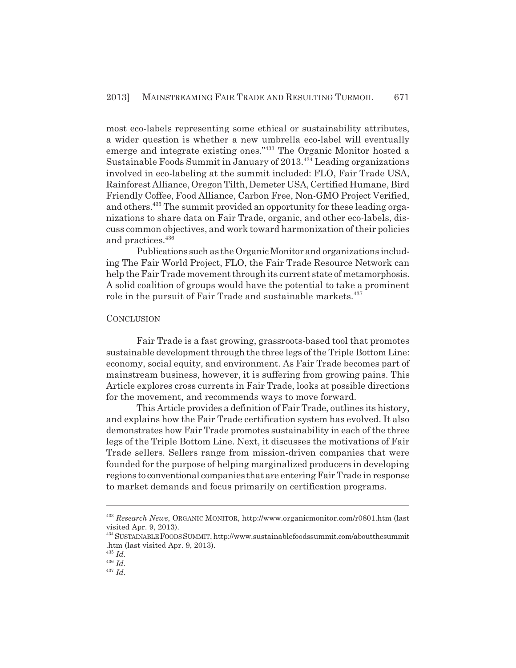most eco-labels representing some ethical or sustainability attributes, a wider question is whether a new umbrella eco-label will eventually emerge and integrate existing ones."433 The Organic Monitor hosted a Sustainable Foods Summit in January of 2013.<sup>434</sup> Leading organizations involved in eco-labeling at the summit included: FLO, Fair Trade USA, Rainforest Alliance, Oregon Tilth, Demeter USA, Certified Humane, Bird Friendly Coffee, Food Alliance, Carbon Free, Non-GMO Project Verified, and others.<sup>435</sup> The summit provided an opportunity for these leading organizations to share data on Fair Trade, organic, and other eco-labels, discuss common objectives, and work toward harmonization of their policies and practices.<sup>436</sup>

Publications such as the Organic Monitor and organizations including The Fair World Project, FLO, the Fair Trade Resource Network can help the Fair Trade movement through its current state of metamorphosis. A solid coalition of groups would have the potential to take a prominent role in the pursuit of Fair Trade and sustainable markets.<sup>437</sup>

#### **CONCLUSION**

Fair Trade is a fast growing, grassroots-based tool that promotes sustainable development through the three legs of the Triple Bottom Line: economy, social equity, and environment. As Fair Trade becomes part of mainstream business, however, it is suffering from growing pains. This Article explores cross currents in Fair Trade, looks at possible directions for the movement, and recommends ways to move forward.

This Article provides a definition of Fair Trade, outlines its history, and explains how the Fair Trade certification system has evolved. It also demonstrates how Fair Trade promotes sustainability in each of the three legs of the Triple Bottom Line. Next, it discusses the motivations of Fair Trade sellers. Sellers range from mission-driven companies that were founded for the purpose of helping marginalized producers in developing regions to conventional companies that are entering Fair Trade in response to market demands and focus primarily on certification programs.

<sup>433</sup> *Research News*, ORGANIC MONITOR, http://www.organicmonitor.com/r0801.htm (last visited Apr. 9, 2013).

<sup>434</sup> SUSTAINABLE FOODS SUMMIT, http://www.sustainablefoodssummit.com/aboutthesummit .htm (last visited Apr. 9, 2013).

<sup>435</sup> *Id.*

 $436$   $\overline{Id}$ .

 $437 \frac{100}{10}$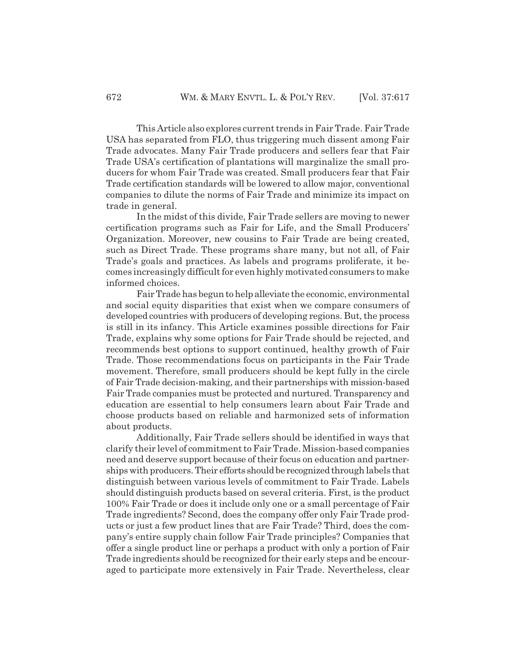This Article also explores current trends in Fair Trade. Fair Trade USA has separated from FLO, thus triggering much dissent among Fair Trade advocates. Many Fair Trade producers and sellers fear that Fair Trade USA's certification of plantations will marginalize the small producers for whom Fair Trade was created. Small producers fear that Fair Trade certification standards will be lowered to allow major, conventional companies to dilute the norms of Fair Trade and minimize its impact on trade in general.

In the midst of this divide, Fair Trade sellers are moving to newer certification programs such as Fair for Life, and the Small Producers' Organization. Moreover, new cousins to Fair Trade are being created, such as Direct Trade. These programs share many, but not all, of Fair Trade's goals and practices. As labels and programs proliferate, it becomes increasingly difficult for even highly motivated consumers to make informed choices.

Fair Trade has begun to help alleviate the economic, environmental and social equity disparities that exist when we compare consumers of developed countries with producers of developing regions. But, the process is still in its infancy. This Article examines possible directions for Fair Trade, explains why some options for Fair Trade should be rejected, and recommends best options to support continued, healthy growth of Fair Trade. Those recommendations focus on participants in the Fair Trade movement. Therefore, small producers should be kept fully in the circle of Fair Trade decision-making, and their partnerships with mission-based Fair Trade companies must be protected and nurtured. Transparency and education are essential to help consumers learn about Fair Trade and choose products based on reliable and harmonized sets of information about products.

Additionally, Fair Trade sellers should be identified in ways that clarify their level of commitment to Fair Trade. Mission-based companies need and deserve support because of their focus on education and partnerships with producers. Their efforts should be recognized through labels that distinguish between various levels of commitment to Fair Trade. Labels should distinguish products based on several criteria. First, is the product 100% Fair Trade or does it include only one or a small percentage of Fair Trade ingredients? Second, does the company offer only Fair Trade products or just a few product lines that are Fair Trade? Third, does the company's entire supply chain follow Fair Trade principles? Companies that offer a single product line or perhaps a product with only a portion of Fair Trade ingredients should be recognized for their early steps and be encouraged to participate more extensively in Fair Trade. Nevertheless, clear